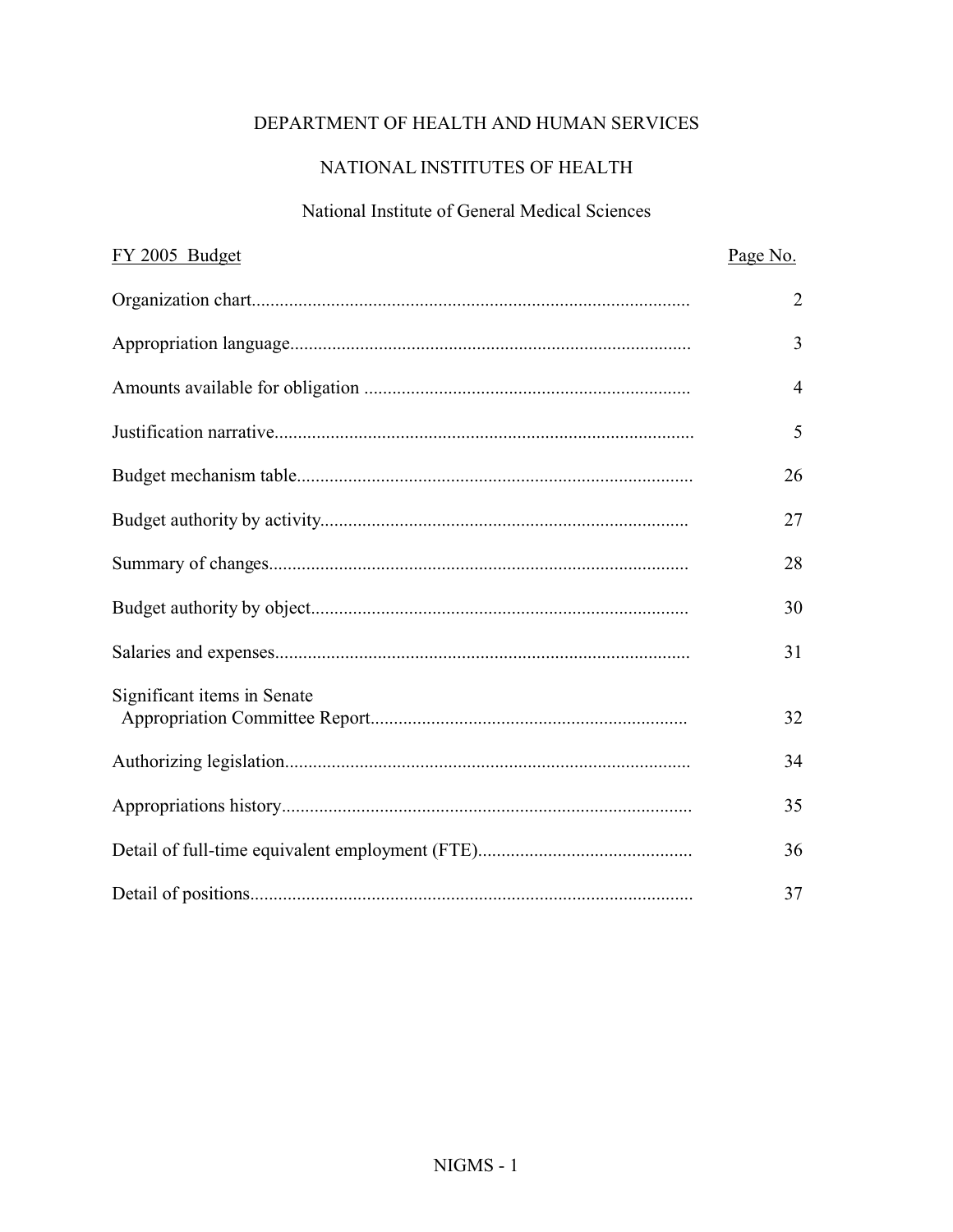# DEPARTMENT OF HEALTH AND HUMAN SERVICES

# NATIONAL INSTITUTES OF HEALTH

#### National Institute of General Medical Sciences

| FY 2005 Budget              | Page No.       |
|-----------------------------|----------------|
|                             | $\overline{2}$ |
|                             | 3              |
|                             | $\overline{4}$ |
|                             | 5              |
|                             | 26             |
|                             | 27             |
|                             | 28             |
|                             | 30             |
|                             | 31             |
| Significant items in Senate |                |
|                             | 32             |
|                             | 34             |
|                             | 35             |
|                             | 36             |
|                             | 37             |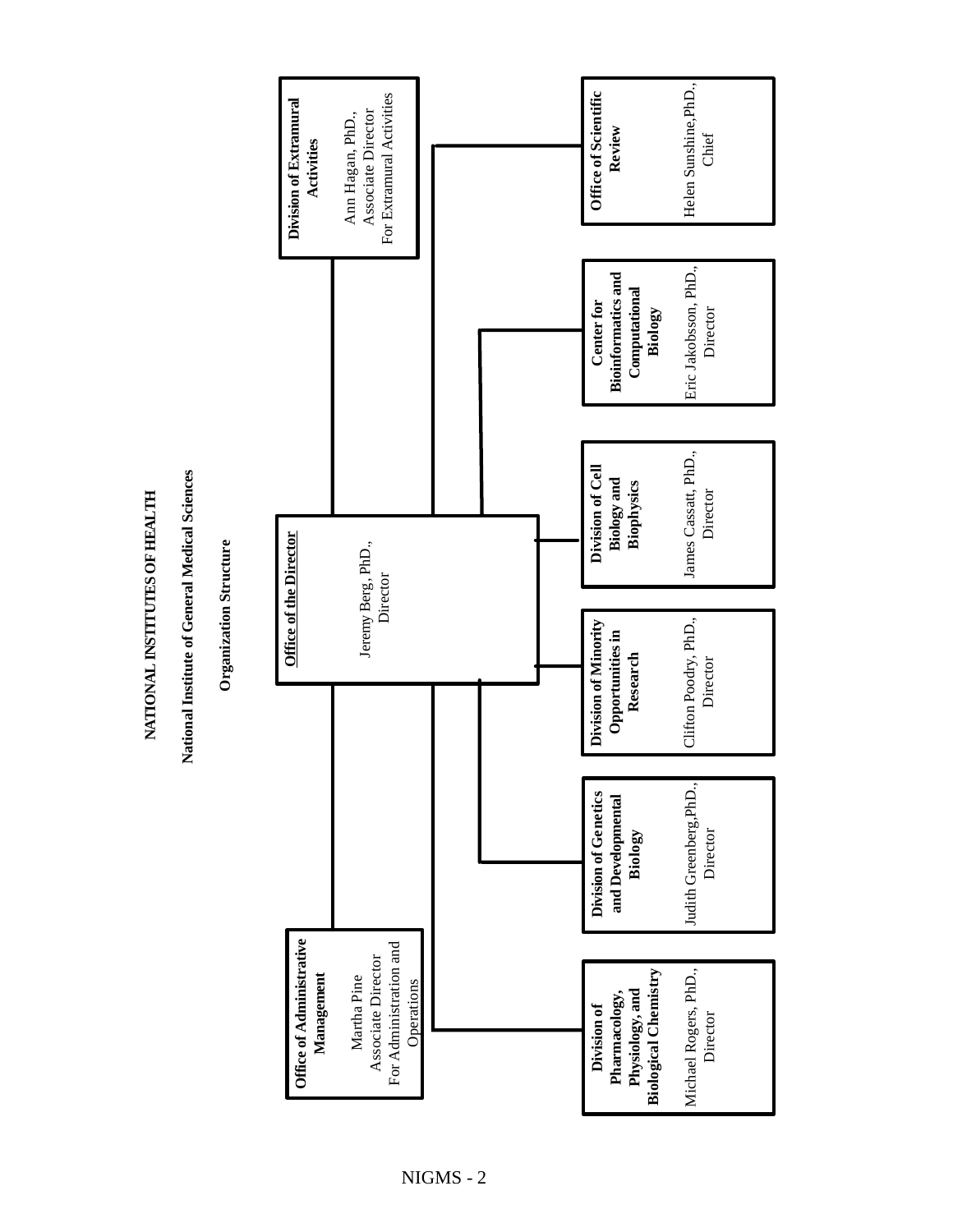NATIONAL INSTITUTES OF HEALTH **NATIONAL INSTITUTES OF HEALTH**

National Institute of General Medical Sciences **National Institute of General Medical Sciences**

**Organization Structure Organization Structure** 

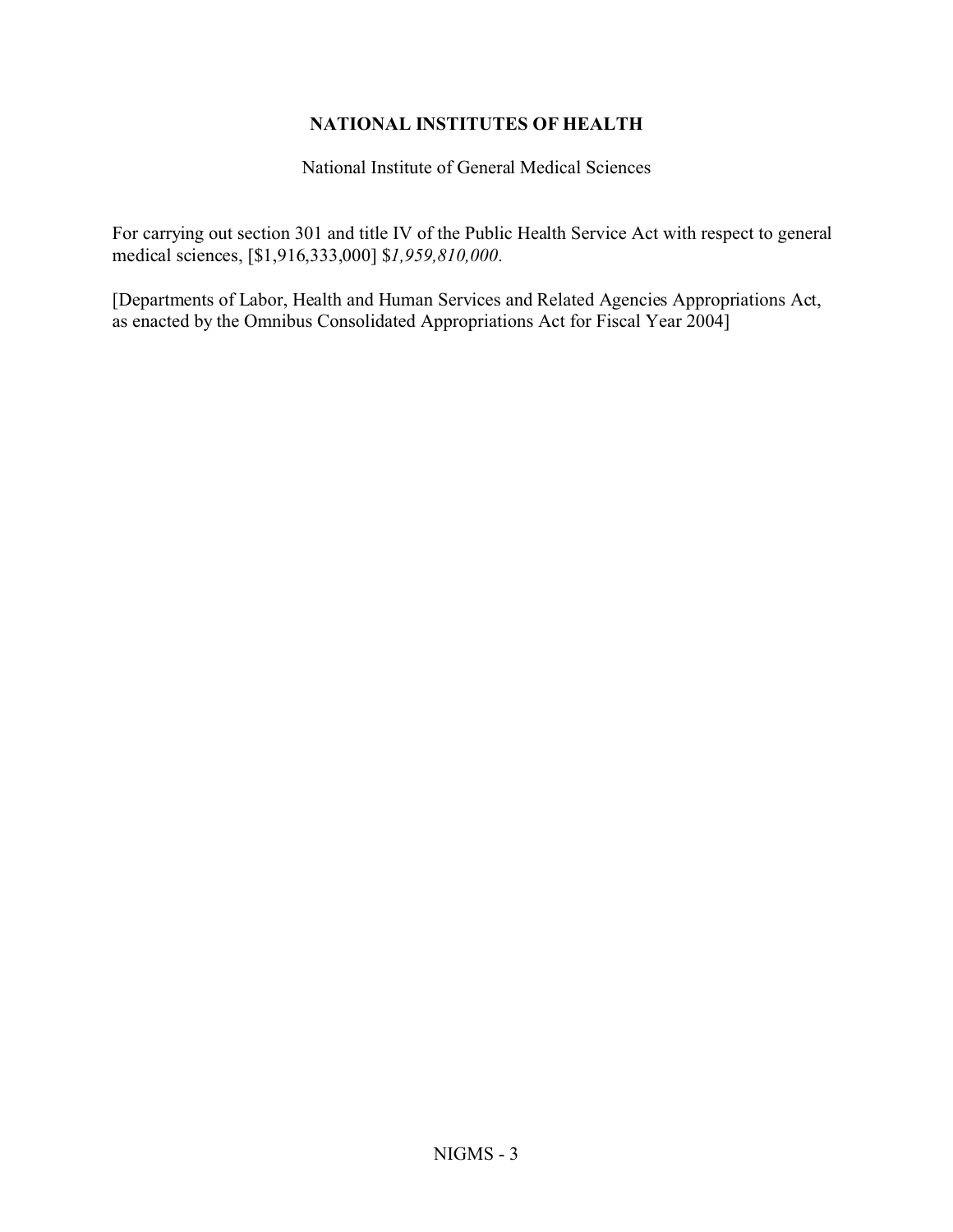# **NATIONAL INSTITUTES OF HEALTH**

National Institute of General Medical Sciences

For carrying out section 301 and title IV of the Public Health Service Act with respect to general medical sciences, [\$1,916,333,000] \$*1,959,810,000*.

[Departments of Labor, Health and Human Services and Related Agencies Appropriations Act, as enacted by the Omnibus Consolidated Appropriations Act for Fiscal Year 2004]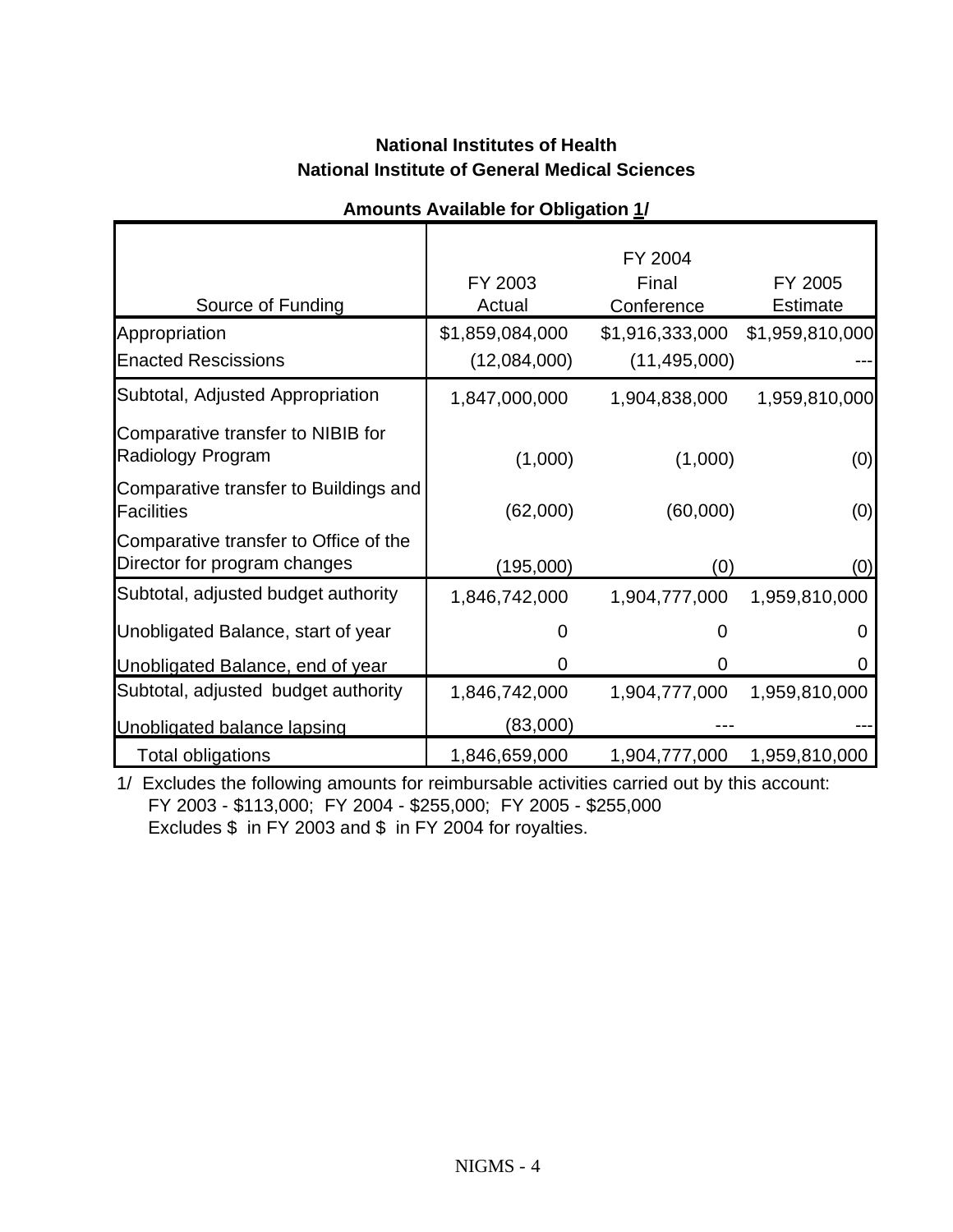# **National Institutes of Health National Institute of General Medical Sciences**

|                                                                       |                 | FY 2004         |                 |
|-----------------------------------------------------------------------|-----------------|-----------------|-----------------|
|                                                                       | FY 2003         | Final           | FY 2005         |
| Source of Funding                                                     | Actual          | Conference      | <b>Estimate</b> |
| Appropriation                                                         | \$1,859,084,000 | \$1,916,333,000 | \$1,959,810,000 |
| <b>Enacted Rescissions</b>                                            | (12,084,000)    | (11, 495, 000)  |                 |
| Subtotal, Adjusted Appropriation                                      | 1,847,000,000   | 1,904,838,000   | 1,959,810,000   |
| Comparative transfer to NIBIB for<br>Radiology Program                | (1,000)         | (1,000)         | (0)             |
| Comparative transfer to Buildings and<br>Facilities                   | (62,000)        | (60,000)        | (0)             |
| Comparative transfer to Office of the<br>Director for program changes | (195,000)       | (0)             | (0)             |
| Subtotal, adjusted budget authority                                   | 1,846,742,000   | 1,904,777,000   | 1,959,810,000   |
| Unobligated Balance, start of year                                    | 0               | O               | O               |
| Unobligated Balance, end of year                                      | 0               | 0               | 0               |
| Subtotal, adjusted budget authority                                   | 1,846,742,000   | 1,904,777,000   | 1,959,810,000   |
| Unobligated balance lapsing                                           | (83,000)        |                 |                 |
| Total obligations                                                     | 1,846,659,000   | 1,904,777,000   | 1,959,810,000   |

# **Amounts Available for Obligation 1/**

1/ Excludes the following amounts for reimbursable activities carried out by this account: FY 2003 - \$113,000; FY 2004 - \$255,000; FY 2005 - \$255,000 Excludes \$ in FY 2003 and \$ in FY 2004 for royalties.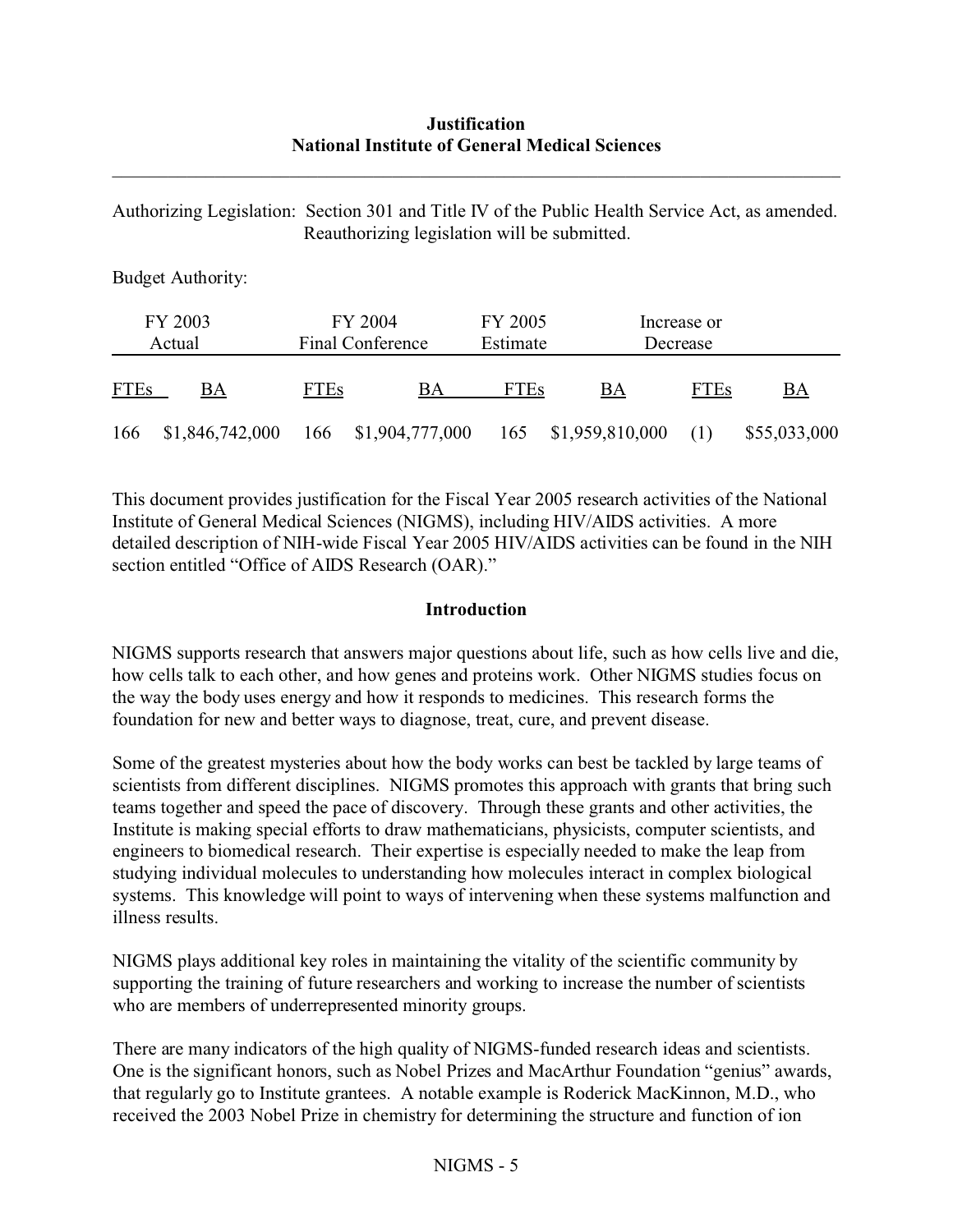#### **Justification National Institute of General Medical Sciences**

\_\_\_\_\_\_\_\_\_\_\_\_\_\_\_\_\_\_\_\_\_\_\_\_\_\_\_\_\_\_\_\_\_\_\_\_\_\_\_\_\_\_\_\_\_\_\_\_\_\_\_\_\_\_\_\_\_\_\_\_\_\_\_\_\_\_\_\_\_\_\_\_\_\_\_\_\_\_

Authorizing Legislation: Section 301 and Title IV of the Public Health Service Act, as amended. Reauthorizing legislation will be submitted.

Budget Authority:

|             | FY 2003<br>Actual |             | FY 2004<br>Final Conference             | FY 2005<br>Estimate |    | Increase or<br>Decrease |              |
|-------------|-------------------|-------------|-----------------------------------------|---------------------|----|-------------------------|--------------|
| <b>FTEs</b> | BА                | <b>FTEs</b> | BА                                      | <b>FTEs</b>         | BA | <b>FTEs</b>             | BA           |
| 166         | \$1,846,742,000   |             | 166 \$1,904,777,000 165 \$1,959,810,000 |                     |    |                         | \$55,033,000 |

This document provides justification for the Fiscal Year 2005 research activities of the National Institute of General Medical Sciences (NIGMS), including HIV/AIDS activities. A more detailed description of NIH-wide Fiscal Year 2005 HIV/AIDS activities can be found in the NIH section entitled "Office of AIDS Research (OAR)."

#### **Introduction**

NIGMS supports research that answers major questions about life, such as how cells live and die, how cells talk to each other, and how genes and proteins work. Other NIGMS studies focus on the way the body uses energy and how it responds to medicines. This research forms the foundation for new and better ways to diagnose, treat, cure, and prevent disease.

Some of the greatest mysteries about how the body works can best be tackled by large teams of scientists from different disciplines. NIGMS promotes this approach with grants that bring such teams together and speed the pace of discovery. Through these grants and other activities, the Institute is making special efforts to draw mathematicians, physicists, computer scientists, and engineers to biomedical research. Their expertise is especially needed to make the leap from studying individual molecules to understanding how molecules interact in complex biological systems. This knowledge will point to ways of intervening when these systems malfunction and illness results.

NIGMS plays additional key roles in maintaining the vitality of the scientific community by supporting the training of future researchers and working to increase the number of scientists who are members of underrepresented minority groups.

There are many indicators of the high quality of NIGMS-funded research ideas and scientists. One is the significant honors, such as Nobel Prizes and MacArthur Foundation "genius" awards, that regularly go to Institute grantees. A notable example is Roderick MacKinnon, M.D., who received the 2003 Nobel Prize in chemistry for determining the structure and function of ion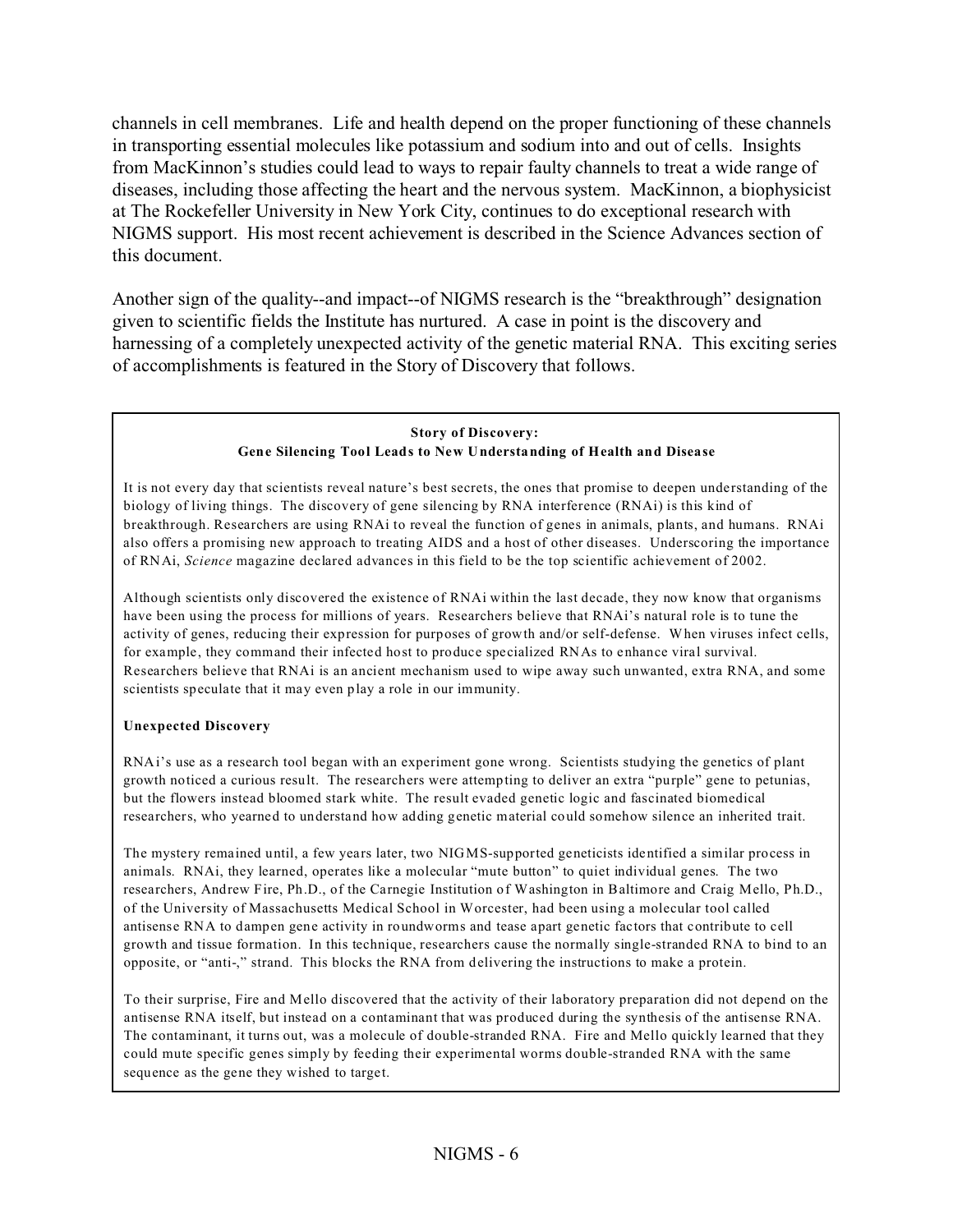channels in cell membranes. Life and health depend on the proper functioning of these channels in transporting essential molecules like potassium and sodium into and out of cells. Insights from MacKinnon's studies could lead to ways to repair faulty channels to treat a wide range of diseases, including those affecting the heart and the nervous system. MacKinnon, a biophysicist at The Rockefeller University in New York City, continues to do exceptional research with NIGMS support. His most recent achievement is described in the Science Advances section of this document.

Another sign of the quality--and impact--of NIGMS research is the "breakthrough" designation given to scientific fields the Institute has nurtured. A case in point is the discovery and harnessing of a completely unexpected activity of the genetic material RNA. This exciting series of accomplishments is featured in the Story of Discovery that follows.

#### **Story of Discovery: Gene Silencing Tool Leads to New Understanding of Health and Disease**

It is not every day that scientists reveal nature's best secrets, the ones that promise to deepen understanding of the biology of living things. The discovery of gene silencing by RNA interference (RNAi) is this kind of breakthrough. Researchers are using RNAi to reveal the function of genes in animals, plants, and humans. RNAi also offers a promising new approach to treating AIDS and a host of other diseases. Underscoring the importance of RNAi, *Science* magazine declared advances in this field to be the top scientific achievement of 2002.

Although scientists only discovered the existence of RNAi within the last decade, they now know that organisms have been using the process for millions of years. Researchers believe that RNAi's natural role is to tune the activity of genes, reducing their expression for purposes of growth and/or self-defense. When viruses infect cells, for example, they command their infected host to produce specialized RNAs to enhance viral survival. Researchers believe that RNAi is an ancient mechanism used to wipe away such unwanted, extra RNA, and some scientists speculate that it may even play a role in our immunity.

#### **Unexpected Discovery**

RNAi's use as a research tool began with an experiment gone wrong. Scientists studying the genetics of plant growth noticed a curious result. The researchers were attempting to deliver an extra "purple" gene to petunias, but the flowers instead bloomed stark white. The result evaded genetic logic and fascinated biomedical researchers, who yearned to understand how adding genetic material could somehow silence an inherited trait.

The mystery remained until, a few years later, two NIGMS-supported geneticists identified a similar process in animals. RNAi, they learned, operates like a molecular "mute button" to quiet individual genes. The two researchers, Andrew Fire, Ph.D., of the Carnegie Institution of Washington in Baltimore and Craig Mello, Ph.D., of the University of Massachusetts Medical School in Worcester, had been using a molecular tool called antisense RNA to dampen gene activity in roundworms and tease apart genetic factors that contribute to cell growth and tissue formation. In this technique, researchers cause the normally single-stranded RNA to bind to an opposite, or "anti-," strand. This blocks the RNA from delivering the instructions to make a protein.

To their surprise, Fire and Mello discovered that the activity of their laboratory preparation did not depend on the antisense RNA itself, but instead on a contaminant that was produced during the synthesis of the antisense RNA. The contaminant, it turns out, was a molecule of double-stranded RNA. Fire and Mello quickly learned that they could mute specific genes simply by feeding their experimental worms double-stranded RNA with the same sequence as the gene they wished to target.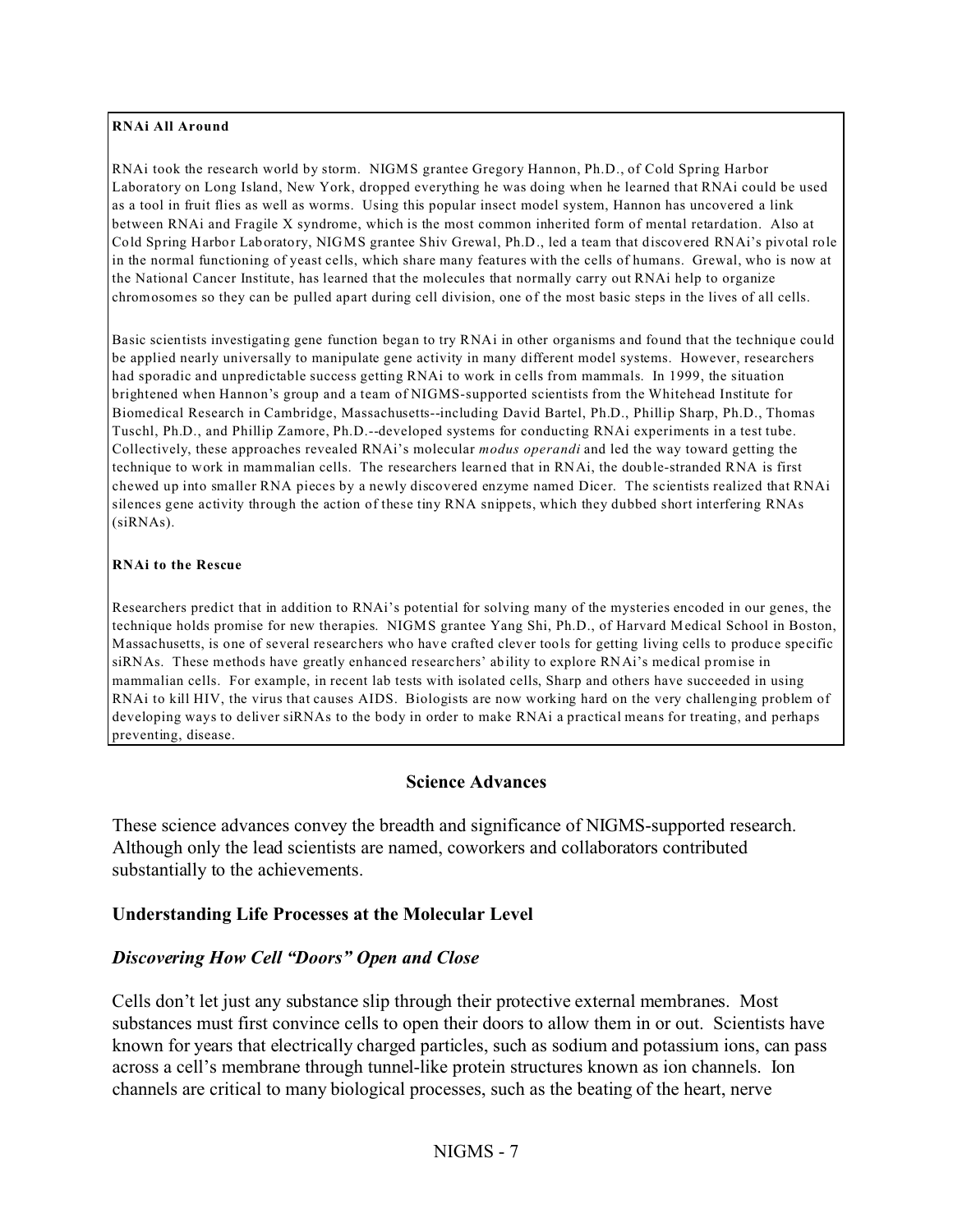#### **RNAi All Around**

RNAi took the research world by storm. NIGMS grantee Gregory Hannon, Ph.D., of Cold Spring Harbor Laboratory on Long Island, New York, dropped everything he was doing when he learned that RNAi could be used as a tool in fruit flies as well as worms. Using this popular insect model system, Hannon has uncovered a link between RNAi and Fragile X syndrome, which is the most common inherited form of mental retardation. Also at Cold Spring Harbor Laboratory, NIGMS grantee Shiv Grewal, Ph.D., led a team that discovered RNAi's pivotal role in the normal functioning of yeast cells, which share many features with the cells of humans. Grewal, who is now at the National Cancer Institute, has learned that the molecules that normally carry out RNAi help to organize chromosomes so they can be pulled apart during cell division, one of the most basic steps in the lives of all cells.

Basic scientists investigating gene function began to try RNAi in other organisms and found that the technique could be applied nearly universally to manipulate gene activity in many different model systems. However, researchers had sporadic and unpredictable success getting RNAi to work in cells from mammals. In 1999, the situation brightened when Hannon's group and a team of NIGMS-supported scientists from the Whitehead Institute for Biomedical Research in Cambridge, Massachusetts--including David Bartel, Ph.D., Phillip Sharp, Ph.D., Thomas Tuschl, Ph.D., and Phillip Zamore, Ph.D.--developed systems for conducting RNAi experiments in a test tube. Collectively, these approaches revealed RNAi's molecular *modus operandi* and led the way toward getting the technique to work in mammalian cells. The researchers learned that in RNAi, the double-stranded RNA is first chewed up into smaller RNA pieces by a newly discovered enzyme named Dicer. The scientists realized that RNAi silences gene activity through the action of these tiny RNA snippets, which they dubbed short interfering RNAs (siRNAs).

#### **RNAi to the Rescue**

Researchers predict that in addition to RNAi's potential for solving many of the mysteries encoded in our genes, the technique holds promise for new therapies. NIGMS grantee Yang Shi, Ph.D., of Harvard Medical School in Boston, Massachusetts, is one of several researchers who have crafted clever tools for getting living cells to produce specific siRNAs. These methods have greatly enhanced researchers' ability to explore RNAi's medical promise in mammalian cells. For example, in recent lab tests with isolated cells, Sharp and others have succeeded in using RNAi to kill HIV, the virus that causes AIDS. Biologists are now working hard on the very challenging problem of developing ways to deliver siRNAs to the body in order to make RNAi a practical means for treating, and perhaps preventing, disease.

#### **Science Advances**

These science advances convey the breadth and significance of NIGMS-supported research. Although only the lead scientists are named, coworkers and collaborators contributed substantially to the achievements.

#### **Understanding Life Processes at the Molecular Level**

#### *Discovering How Cell "Doors" Open and Close*

Cells don't let just any substance slip through their protective external membranes. Most substances must first convince cells to open their doors to allow them in or out. Scientists have known for years that electrically charged particles, such as sodium and potassium ions, can pass across a cell's membrane through tunnel-like protein structures known as ion channels. Ion channels are critical to many biological processes, such as the beating of the heart, nerve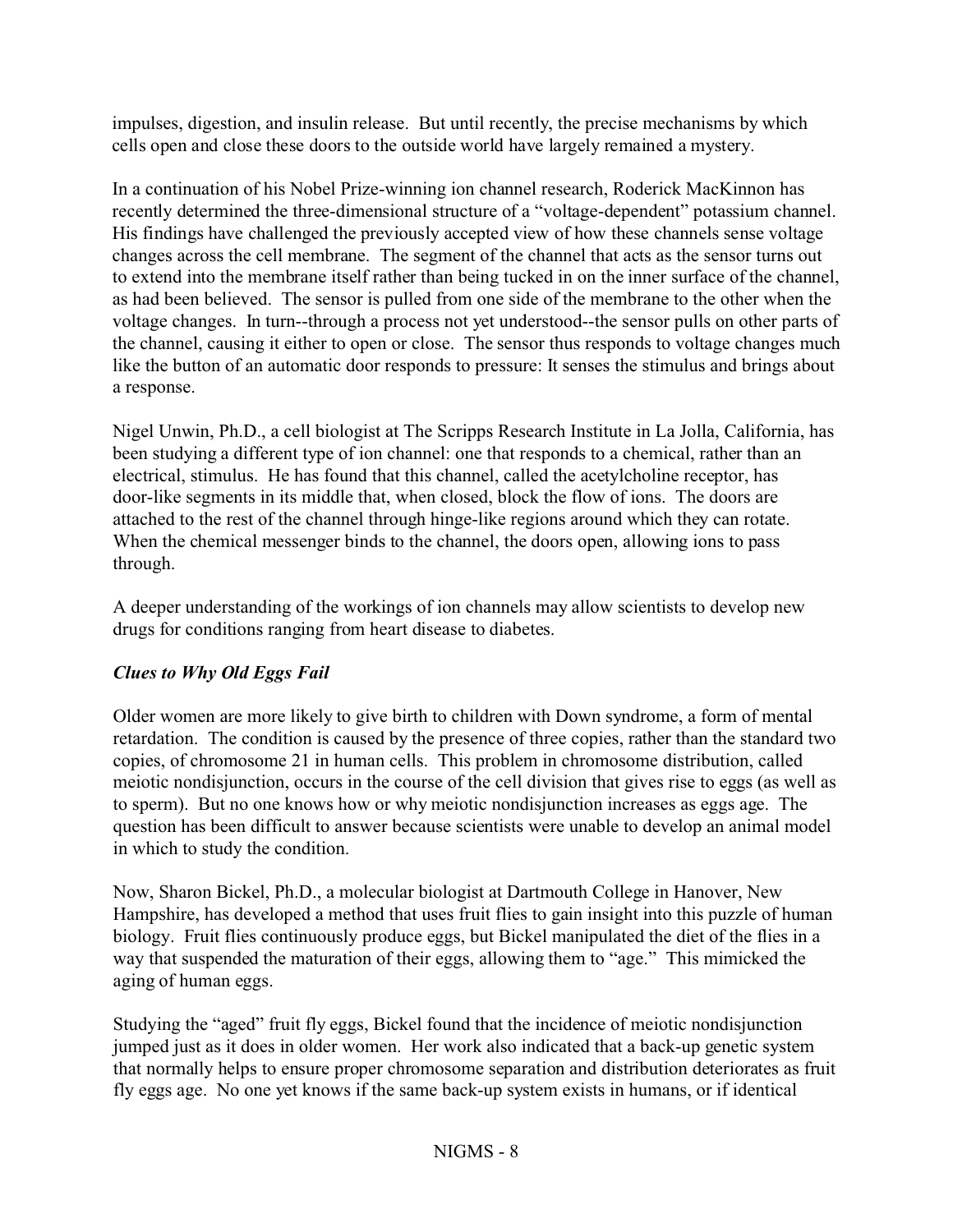impulses, digestion, and insulin release. But until recently, the precise mechanisms by which cells open and close these doors to the outside world have largely remained a mystery.

In a continuation of his Nobel Prize-winning ion channel research, Roderick MacKinnon has recently determined the three-dimensional structure of a "voltage-dependent" potassium channel. His findings have challenged the previously accepted view of how these channels sense voltage changes across the cell membrane. The segment of the channel that acts as the sensor turns out to extend into the membrane itself rather than being tucked in on the inner surface of the channel, as had been believed. The sensor is pulled from one side of the membrane to the other when the voltage changes. In turn--through a process not yet understood--the sensor pulls on other parts of the channel, causing it either to open or close. The sensor thus responds to voltage changes much like the button of an automatic door responds to pressure: It senses the stimulus and brings about a response.

Nigel Unwin, Ph.D., a cell biologist at The Scripps Research Institute in La Jolla, California, has been studying a different type of ion channel: one that responds to a chemical, rather than an electrical, stimulus. He has found that this channel, called the acetylcholine receptor, has door-like segments in its middle that, when closed, block the flow of ions. The doors are attached to the rest of the channel through hinge-like regions around which they can rotate. When the chemical messenger binds to the channel, the doors open, allowing ions to pass through.

A deeper understanding of the workings of ion channels may allow scientists to develop new drugs for conditions ranging from heart disease to diabetes.

# *Clues to Why Old Eggs Fail*

Older women are more likely to give birth to children with Down syndrome, a form of mental retardation. The condition is caused by the presence of three copies, rather than the standard two copies, of chromosome 21 in human cells. This problem in chromosome distribution, called meiotic nondisjunction, occurs in the course of the cell division that gives rise to eggs (as well as to sperm). But no one knows how or why meiotic nondisjunction increases as eggs age. The question has been difficult to answer because scientists were unable to develop an animal model in which to study the condition.

Now, Sharon Bickel, Ph.D., a molecular biologist at Dartmouth College in Hanover, New Hampshire, has developed a method that uses fruit flies to gain insight into this puzzle of human biology. Fruit flies continuously produce eggs, but Bickel manipulated the diet of the flies in a way that suspended the maturation of their eggs, allowing them to "age." This mimicked the aging of human eggs.

Studying the "aged" fruit fly eggs, Bickel found that the incidence of meiotic nondisjunction jumped just as it does in older women. Her work also indicated that a back-up genetic system that normally helps to ensure proper chromosome separation and distribution deteriorates as fruit fly eggs age. No one yet knows if the same back-up system exists in humans, or if identical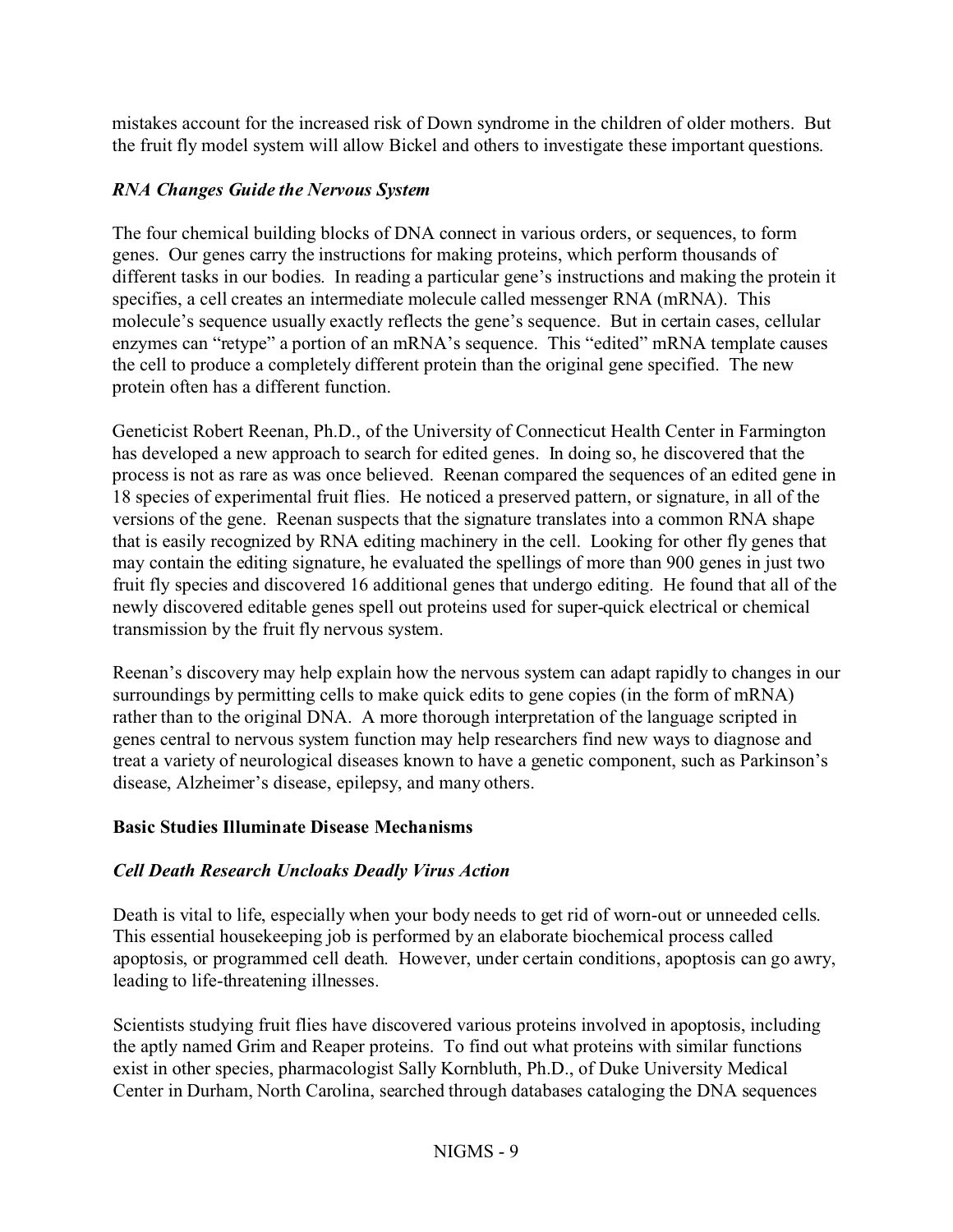mistakes account for the increased risk of Down syndrome in the children of older mothers. But the fruit fly model system will allow Bickel and others to investigate these important questions.

# *RNA Changes Guide the Nervous System*

The four chemical building blocks of DNA connect in various orders, or sequences, to form genes. Our genes carry the instructions for making proteins, which perform thousands of different tasks in our bodies. In reading a particular gene's instructions and making the protein it specifies, a cell creates an intermediate molecule called messenger RNA (mRNA). This molecule's sequence usually exactly reflects the gene's sequence. But in certain cases, cellular enzymes can "retype" a portion of an mRNA's sequence. This "edited" mRNA template causes the cell to produce a completely different protein than the original gene specified. The new protein often has a different function.

Geneticist Robert Reenan, Ph.D., of the University of Connecticut Health Center in Farmington has developed a new approach to search for edited genes. In doing so, he discovered that the process is not as rare as was once believed. Reenan compared the sequences of an edited gene in 18 species of experimental fruit flies. He noticed a preserved pattern, or signature, in all of the versions of the gene. Reenan suspects that the signature translates into a common RNA shape that is easily recognized by RNA editing machinery in the cell. Looking for other fly genes that may contain the editing signature, he evaluated the spellings of more than 900 genes in just two fruit fly species and discovered 16 additional genes that undergo editing. He found that all of the newly discovered editable genes spell out proteins used for super-quick electrical or chemical transmission by the fruit fly nervous system.

Reenan's discovery may help explain how the nervous system can adapt rapidly to changes in our surroundings by permitting cells to make quick edits to gene copies (in the form of mRNA) rather than to the original DNA. A more thorough interpretation of the language scripted in genes central to nervous system function may help researchers find new ways to diagnose and treat a variety of neurological diseases known to have a genetic component, such as Parkinson's disease, Alzheimer's disease, epilepsy, and many others.

#### **Basic Studies Illuminate Disease Mechanisms**

# *Cell Death Research Uncloaks Deadly Virus Action*

Death is vital to life, especially when your body needs to get rid of worn-out or unneeded cells. This essential housekeeping job is performed by an elaborate biochemical process called apoptosis, or programmed cell death. However, under certain conditions, apoptosis can go awry, leading to life-threatening illnesses.

Scientists studying fruit flies have discovered various proteins involved in apoptosis, including the aptly named Grim and Reaper proteins. To find out what proteins with similar functions exist in other species, pharmacologist Sally Kornbluth, Ph.D., of Duke University Medical Center in Durham, North Carolina, searched through databases cataloging the DNA sequences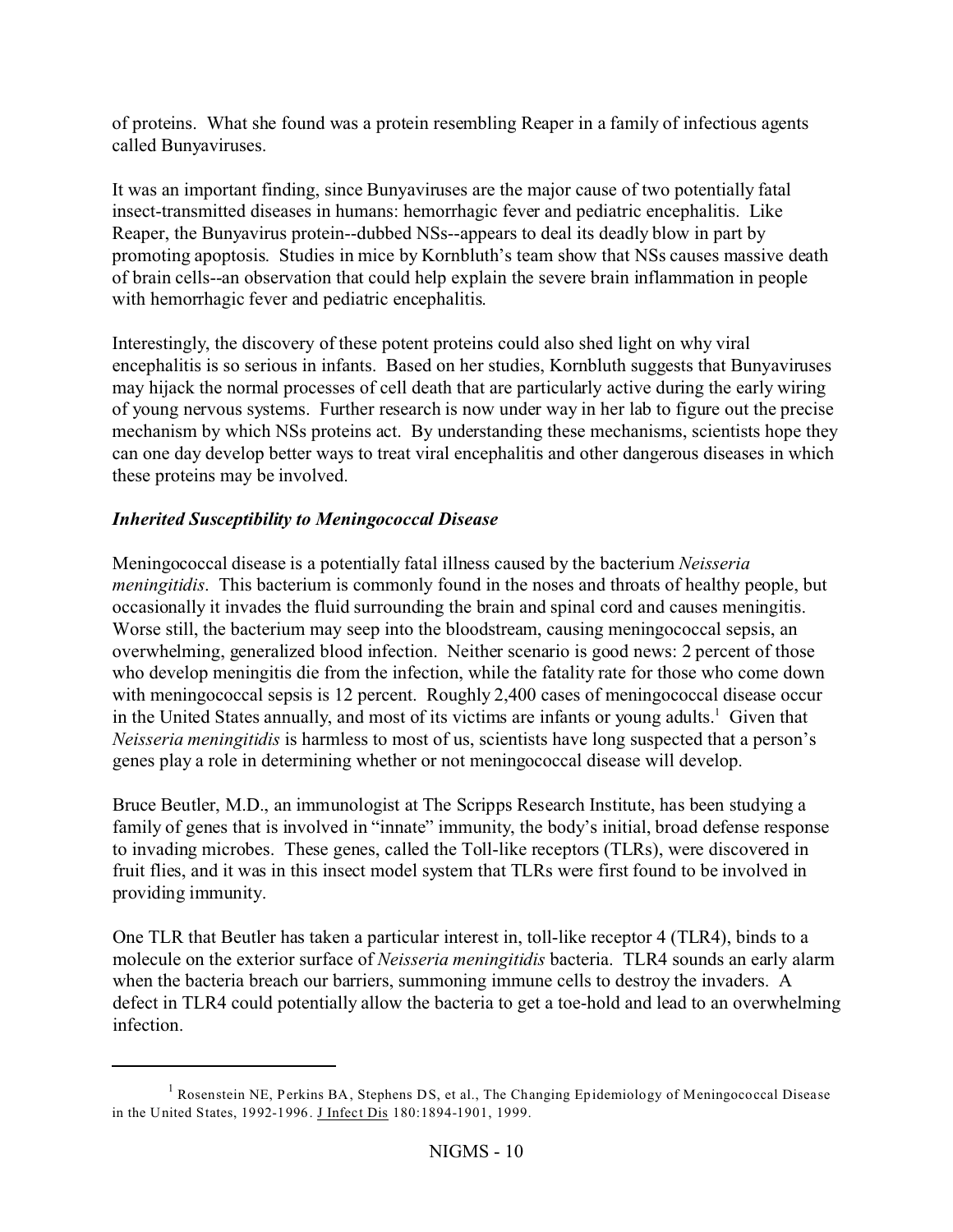of proteins. What she found was a protein resembling Reaper in a family of infectious agents called Bunyaviruses.

It was an important finding, since Bunyaviruses are the major cause of two potentially fatal insect-transmitted diseases in humans: hemorrhagic fever and pediatric encephalitis. Like Reaper, the Bunyavirus protein--dubbed NSs--appears to deal its deadly blow in part by promoting apoptosis. Studies in mice by Kornbluth's team show that NSs causes massive death of brain cells--an observation that could help explain the severe brain inflammation in people with hemorrhagic fever and pediatric encephalitis.

Interestingly, the discovery of these potent proteins could also shed light on why viral encephalitis is so serious in infants. Based on her studies, Kornbluth suggests that Bunyaviruses may hijack the normal processes of cell death that are particularly active during the early wiring of young nervous systems. Further research is now under way in her lab to figure out the precise mechanism by which NSs proteins act. By understanding these mechanisms, scientists hope they can one day develop better ways to treat viral encephalitis and other dangerous diseases in which these proteins may be involved.

# *Inherited Susceptibility to Meningococcal Disease*

Meningococcal disease is a potentially fatal illness caused by the bacterium *Neisseria meningitidis*. This bacterium is commonly found in the noses and throats of healthy people, but occasionally it invades the fluid surrounding the brain and spinal cord and causes meningitis. Worse still, the bacterium may seep into the bloodstream, causing meningococcal sepsis, an overwhelming, generalized blood infection. Neither scenario is good news: 2 percent of those who develop meningitis die from the infection, while the fatality rate for those who come down with meningococcal sepsis is 12 percent. Roughly 2,400 cases of meningococcal disease occur in the United States annually, and most of its victims are infants or young adults.<sup>1</sup> Given that *Neisseria meningitidis* is harmless to most of us, scientists have long suspected that a person's genes play a role in determining whether or not meningococcal disease will develop.

Bruce Beutler, M.D., an immunologist at The Scripps Research Institute, has been studying a family of genes that is involved in "innate" immunity, the body's initial, broad defense response to invading microbes. These genes, called the Toll-like receptors (TLRs), were discovered in fruit flies, and it was in this insect model system that TLRs were first found to be involved in providing immunity.

One TLR that Beutler has taken a particular interest in, toll-like receptor 4 (TLR4), binds to a molecule on the exterior surface of *Neisseria meningitidis* bacteria. TLR4 sounds an early alarm when the bacteria breach our barriers, summoning immune cells to destroy the invaders. A defect in TLR4 could potentially allow the bacteria to get a toe-hold and lead to an overwhelming infection.

<sup>&</sup>lt;sup>1</sup> Rosenstein NE, Perkins BA, Stephens DS, et al., The Changing Epidemiology of Meningococcal Disease in the United States, 1992-1996. J Infect Dis 180:1894-1901, 1999.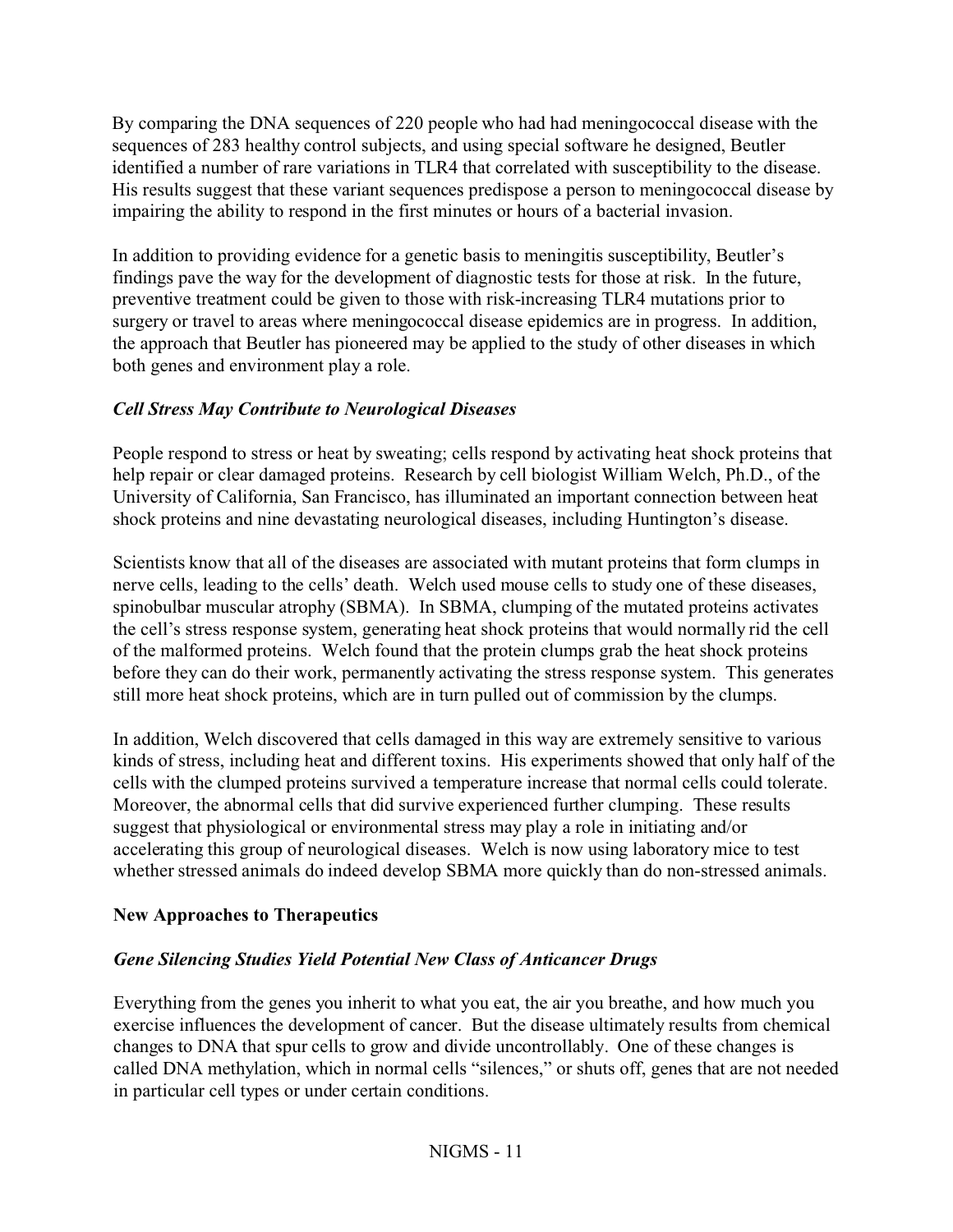By comparing the DNA sequences of 220 people who had had meningococcal disease with the sequences of 283 healthy control subjects, and using special software he designed, Beutler identified a number of rare variations in TLR4 that correlated with susceptibility to the disease. His results suggest that these variant sequences predispose a person to meningococcal disease by impairing the ability to respond in the first minutes or hours of a bacterial invasion.

In addition to providing evidence for a genetic basis to meningitis susceptibility, Beutler's findings pave the way for the development of diagnostic tests for those at risk. In the future, preventive treatment could be given to those with risk-increasing TLR4 mutations prior to surgery or travel to areas where meningococcal disease epidemics are in progress. In addition, the approach that Beutler has pioneered may be applied to the study of other diseases in which both genes and environment play a role.

# *Cell Stress May Contribute to Neurological Diseases*

People respond to stress or heat by sweating; cells respond by activating heat shock proteins that help repair or clear damaged proteins. Research by cell biologist William Welch, Ph.D., of the University of California, San Francisco, has illuminated an important connection between heat shock proteins and nine devastating neurological diseases, including Huntington's disease.

Scientists know that all of the diseases are associated with mutant proteins that form clumps in nerve cells, leading to the cells' death. Welch used mouse cells to study one of these diseases, spinobulbar muscular atrophy (SBMA). In SBMA, clumping of the mutated proteins activates the cell's stress response system, generating heat shock proteins that would normally rid the cell of the malformed proteins. Welch found that the protein clumps grab the heat shock proteins before they can do their work, permanently activating the stress response system. This generates still more heat shock proteins, which are in turn pulled out of commission by the clumps.

In addition, Welch discovered that cells damaged in this way are extremely sensitive to various kinds of stress, including heat and different toxins. His experiments showed that only half of the cells with the clumped proteins survived a temperature increase that normal cells could tolerate. Moreover, the abnormal cells that did survive experienced further clumping. These results suggest that physiological or environmental stress may play a role in initiating and/or accelerating this group of neurological diseases. Welch is now using laboratory mice to test whether stressed animals do indeed develop SBMA more quickly than do non-stressed animals.

# **New Approaches to Therapeutics**

# *Gene Silencing Studies Yield Potential New Class of Anticancer Drugs*

Everything from the genes you inherit to what you eat, the air you breathe, and how much you exercise influences the development of cancer. But the disease ultimately results from chemical changes to DNA that spur cells to grow and divide uncontrollably. One of these changes is called DNA methylation, which in normal cells "silences," or shuts off, genes that are not needed in particular cell types or under certain conditions.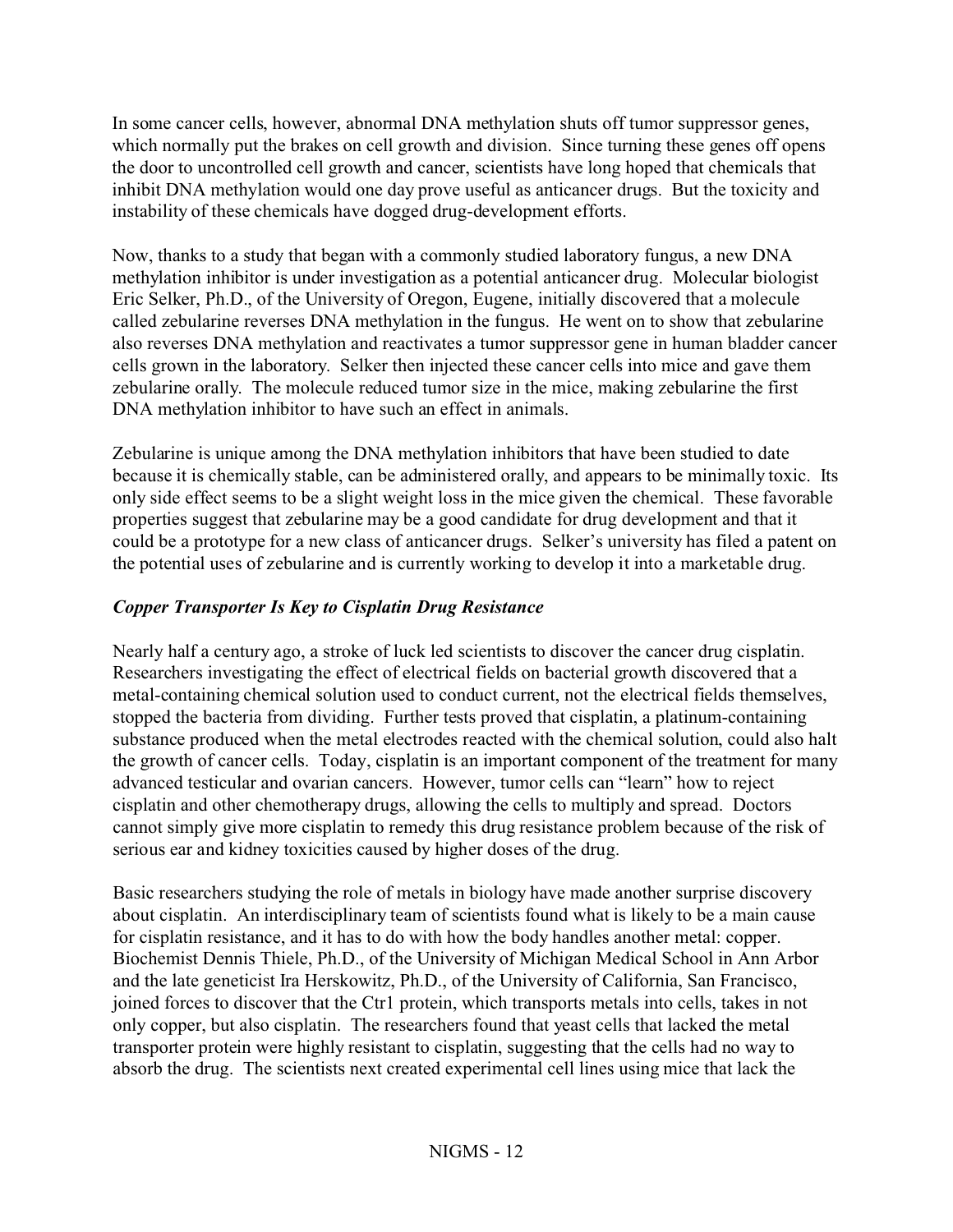In some cancer cells, however, abnormal DNA methylation shuts off tumor suppressor genes, which normally put the brakes on cell growth and division. Since turning these genes off opens the door to uncontrolled cell growth and cancer, scientists have long hoped that chemicals that inhibit DNA methylation would one day prove useful as anticancer drugs. But the toxicity and instability of these chemicals have dogged drug-development efforts.

Now, thanks to a study that began with a commonly studied laboratory fungus, a new DNA methylation inhibitor is under investigation as a potential anticancer drug. Molecular biologist Eric Selker, Ph.D., of the University of Oregon, Eugene, initially discovered that a molecule called zebularine reverses DNA methylation in the fungus. He went on to show that zebularine also reverses DNA methylation and reactivates a tumor suppressor gene in human bladder cancer cells grown in the laboratory. Selker then injected these cancer cells into mice and gave them zebularine orally. The molecule reduced tumor size in the mice, making zebularine the first DNA methylation inhibitor to have such an effect in animals.

Zebularine is unique among the DNA methylation inhibitors that have been studied to date because it is chemically stable, can be administered orally, and appears to be minimally toxic. Its only side effect seems to be a slight weight loss in the mice given the chemical. These favorable properties suggest that zebularine may be a good candidate for drug development and that it could be a prototype for a new class of anticancer drugs. Selker's university has filed a patent on the potential uses of zebularine and is currently working to develop it into a marketable drug.

#### *Copper Transporter Is Key to Cisplatin Drug Resistance*

Nearly half a century ago, a stroke of luck led scientists to discover the cancer drug cisplatin. Researchers investigating the effect of electrical fields on bacterial growth discovered that a metal-containing chemical solution used to conduct current, not the electrical fields themselves, stopped the bacteria from dividing. Further tests proved that cisplatin, a platinum-containing substance produced when the metal electrodes reacted with the chemical solution, could also halt the growth of cancer cells. Today, cisplatin is an important component of the treatment for many advanced testicular and ovarian cancers. However, tumor cells can "learn" how to reject cisplatin and other chemotherapy drugs, allowing the cells to multiply and spread. Doctors cannot simply give more cisplatin to remedy this drug resistance problem because of the risk of serious ear and kidney toxicities caused by higher doses of the drug.

Basic researchers studying the role of metals in biology have made another surprise discovery about cisplatin. An interdisciplinary team of scientists found what is likely to be a main cause for cisplatin resistance, and it has to do with how the body handles another metal: copper. Biochemist Dennis Thiele, Ph.D., of the University of Michigan Medical School in Ann Arbor and the late geneticist Ira Herskowitz, Ph.D., of the University of California, San Francisco, joined forces to discover that the Ctr1 protein, which transports metals into cells, takes in not only copper, but also cisplatin. The researchers found that yeast cells that lacked the metal transporter protein were highly resistant to cisplatin, suggesting that the cells had no way to absorb the drug. The scientists next created experimental cell lines using mice that lack the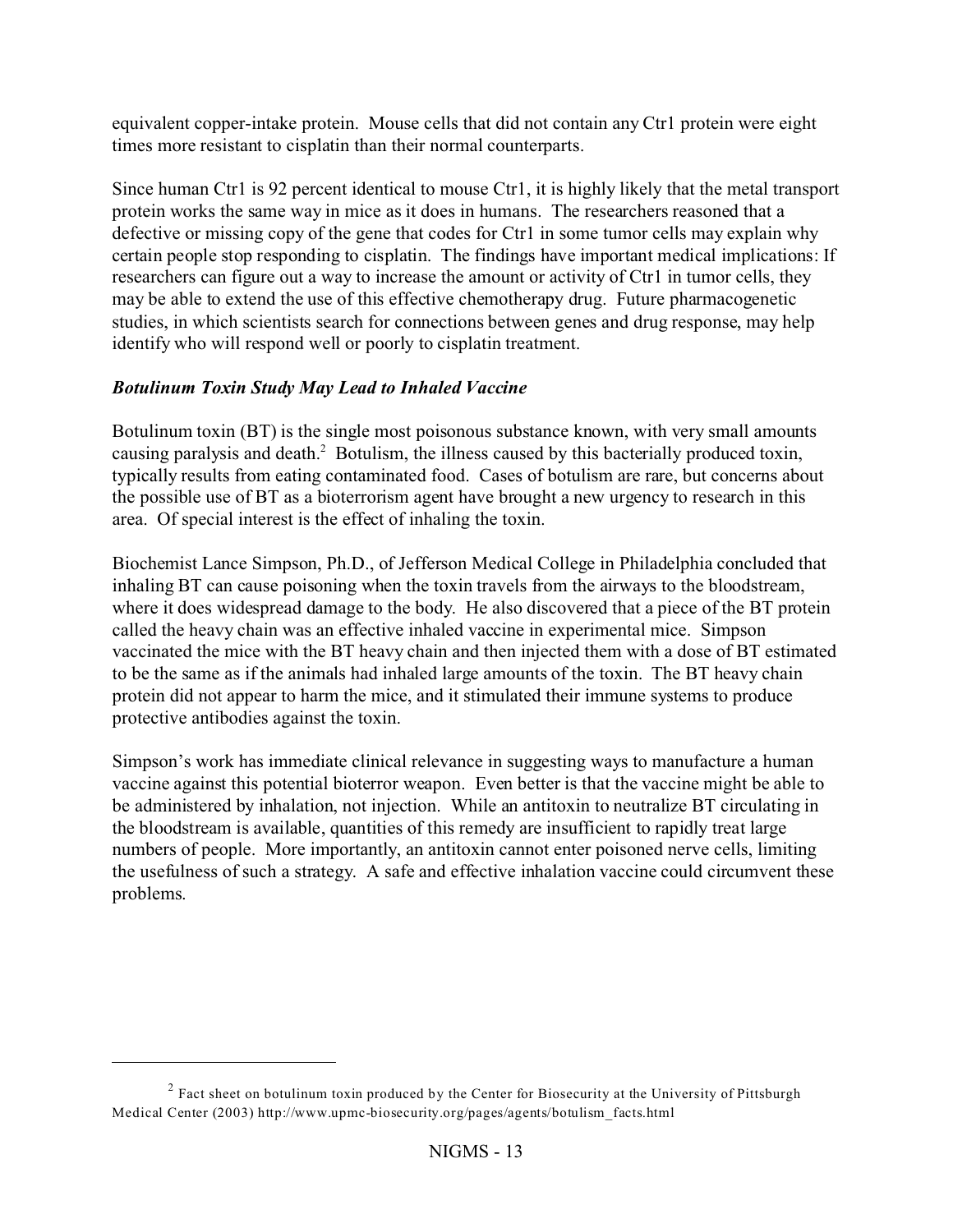equivalent copper-intake protein. Mouse cells that did not contain any Ctr1 protein were eight times more resistant to cisplatin than their normal counterparts.

Since human Ctr1 is 92 percent identical to mouse Ctr1, it is highly likely that the metal transport protein works the same way in mice as it does in humans. The researchers reasoned that a defective or missing copy of the gene that codes for Ctr1 in some tumor cells may explain why certain people stop responding to cisplatin. The findings have important medical implications: If researchers can figure out a way to increase the amount or activity of Ctr1 in tumor cells, they may be able to extend the use of this effective chemotherapy drug. Future pharmacogenetic studies, in which scientists search for connections between genes and drug response, may help identify who will respond well or poorly to cisplatin treatment.

# *Botulinum Toxin Study May Lead to Inhaled Vaccine*

Botulinum toxin (BT) is the single most poisonous substance known, with very small amounts causing paralysis and death.<sup>2</sup> Botulism, the illness caused by this bacterially produced toxin, typically results from eating contaminated food. Cases of botulism are rare, but concerns about the possible use of BT as a bioterrorism agent have brought a new urgency to research in this area. Of special interest is the effect of inhaling the toxin.

Biochemist Lance Simpson, Ph.D., of Jefferson Medical College in Philadelphia concluded that inhaling BT can cause poisoning when the toxin travels from the airways to the bloodstream, where it does widespread damage to the body. He also discovered that a piece of the BT protein called the heavy chain was an effective inhaled vaccine in experimental mice. Simpson vaccinated the mice with the BT heavy chain and then injected them with a dose of BT estimated to be the same as if the animals had inhaled large amounts of the toxin. The BT heavy chain protein did not appear to harm the mice, and it stimulated their immune systems to produce protective antibodies against the toxin.

Simpson's work has immediate clinical relevance in suggesting ways to manufacture a human vaccine against this potential bioterror weapon. Even better is that the vaccine might be able to be administered by inhalation, not injection. While an antitoxin to neutralize BT circulating in the bloodstream is available, quantities of this remedy are insufficient to rapidly treat large numbers of people. More importantly, an antitoxin cannot enter poisoned nerve cells, limiting the usefulness of such a strategy. A safe and effective inhalation vaccine could circumvent these problems.

 $2$  Fact sheet on botulinum toxin produced by the Center for Biosecurity at the University of Pittsburgh Medical Center (2003) http://www.upmc-biosecurity.org/pages/agents/botulism\_facts.html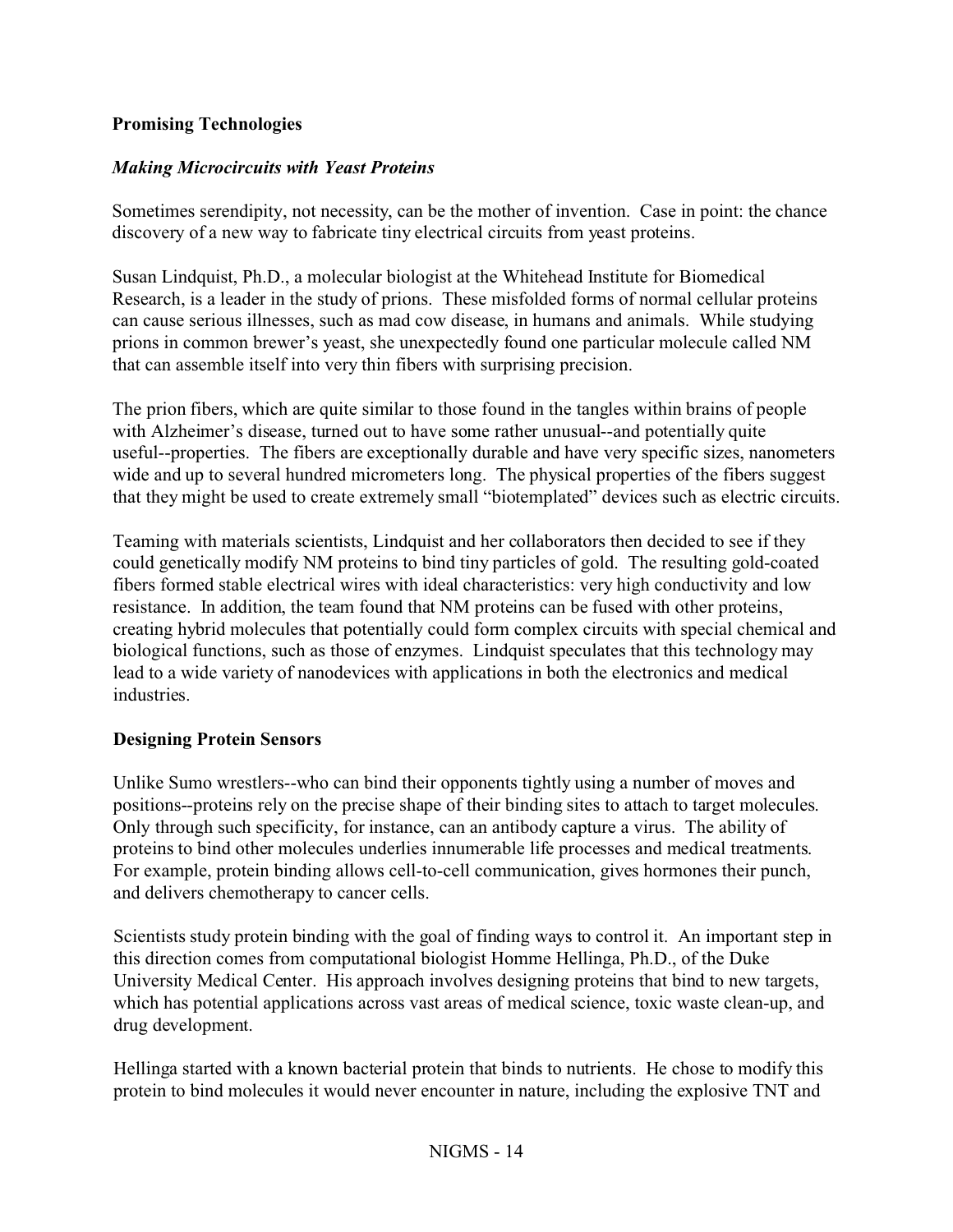#### **Promising Technologies**

#### *Making Microcircuits with Yeast Proteins*

Sometimes serendipity, not necessity, can be the mother of invention. Case in point: the chance discovery of a new way to fabricate tiny electrical circuits from yeast proteins.

Susan Lindquist, Ph.D., a molecular biologist at the Whitehead Institute for Biomedical Research, is a leader in the study of prions. These misfolded forms of normal cellular proteins can cause serious illnesses, such as mad cow disease, in humans and animals. While studying prions in common brewer's yeast, she unexpectedly found one particular molecule called NM that can assemble itself into very thin fibers with surprising precision.

The prion fibers, which are quite similar to those found in the tangles within brains of people with Alzheimer's disease, turned out to have some rather unusual--and potentially quite useful--properties. The fibers are exceptionally durable and have very specific sizes, nanometers wide and up to several hundred micrometers long. The physical properties of the fibers suggest that they might be used to create extremely small "biotemplated" devices such as electric circuits.

Teaming with materials scientists, Lindquist and her collaborators then decided to see if they could genetically modify NM proteins to bind tiny particles of gold. The resulting gold-coated fibers formed stable electrical wires with ideal characteristics: very high conductivity and low resistance. In addition, the team found that NM proteins can be fused with other proteins, creating hybrid molecules that potentially could form complex circuits with special chemical and biological functions, such as those of enzymes. Lindquist speculates that this technology may lead to a wide variety of nanodevices with applications in both the electronics and medical industries.

#### **Designing Protein Sensors**

Unlike Sumo wrestlers--who can bind their opponents tightly using a number of moves and positions--proteins rely on the precise shape of their binding sites to attach to target molecules. Only through such specificity, for instance, can an antibody capture a virus. The ability of proteins to bind other molecules underlies innumerable life processes and medical treatments. For example, protein binding allows cell-to-cell communication, gives hormones their punch, and delivers chemotherapy to cancer cells.

Scientists study protein binding with the goal of finding ways to control it. An important step in this direction comes from computational biologist Homme Hellinga, Ph.D., of the Duke University Medical Center. His approach involves designing proteins that bind to new targets, which has potential applications across vast areas of medical science, toxic waste clean-up, and drug development.

Hellinga started with a known bacterial protein that binds to nutrients. He chose to modify this protein to bind molecules it would never encounter in nature, including the explosive TNT and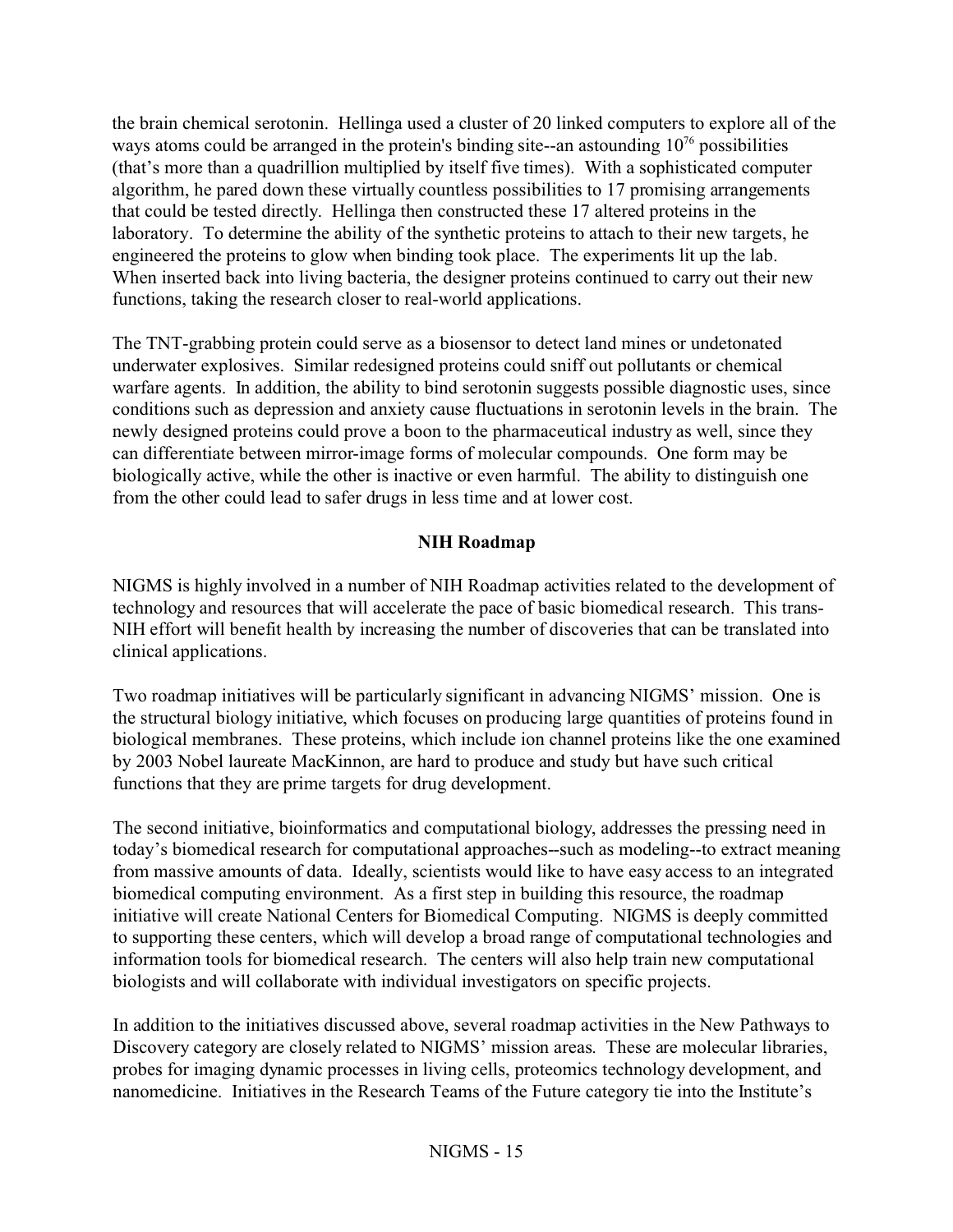the brain chemical serotonin. Hellinga used a cluster of 20 linked computers to explore all of the ways atoms could be arranged in the protein's binding site--an astounding  $10^{76}$  possibilities (that's more than a quadrillion multiplied by itself five times). With a sophisticated computer algorithm, he pared down these virtually countless possibilities to 17 promising arrangements that could be tested directly. Hellinga then constructed these 17 altered proteins in the laboratory. To determine the ability of the synthetic proteins to attach to their new targets, he engineered the proteins to glow when binding took place. The experiments lit up the lab. When inserted back into living bacteria, the designer proteins continued to carry out their new functions, taking the research closer to real-world applications.

The TNT-grabbing protein could serve as a biosensor to detect land mines or undetonated underwater explosives. Similar redesigned proteins could sniff out pollutants or chemical warfare agents. In addition, the ability to bind serotonin suggests possible diagnostic uses, since conditions such as depression and anxiety cause fluctuations in serotonin levels in the brain. The newly designed proteins could prove a boon to the pharmaceutical industry as well, since they can differentiate between mirror-image forms of molecular compounds. One form may be biologically active, while the other is inactive or even harmful. The ability to distinguish one from the other could lead to safer drugs in less time and at lower cost.

#### **NIH Roadmap**

NIGMS is highly involved in a number of NIH Roadmap activities related to the development of technology and resources that will accelerate the pace of basic biomedical research. This trans-NIH effort will benefit health by increasing the number of discoveries that can be translated into clinical applications.

Two roadmap initiatives will be particularly significant in advancing NIGMS' mission. One is the structural biology initiative, which focuses on producing large quantities of proteins found in biological membranes. These proteins, which include ion channel proteins like the one examined by 2003 Nobel laureate MacKinnon, are hard to produce and study but have such critical functions that they are prime targets for drug development.

The second initiative, bioinformatics and computational biology, addresses the pressing need in today's biomedical research for computational approaches--such as modeling--to extract meaning from massive amounts of data. Ideally, scientists would like to have easy access to an integrated biomedical computing environment. As a first step in building this resource, the roadmap initiative will create National Centers for Biomedical Computing. NIGMS is deeply committed to supporting these centers, which will develop a broad range of computational technologies and information tools for biomedical research. The centers will also help train new computational biologists and will collaborate with individual investigators on specific projects.

In addition to the initiatives discussed above, several roadmap activities in the New Pathways to Discovery category are closely related to NIGMS' mission areas. These are molecular libraries, probes for imaging dynamic processes in living cells, proteomics technology development, and nanomedicine. Initiatives in the Research Teams of the Future category tie into the Institute's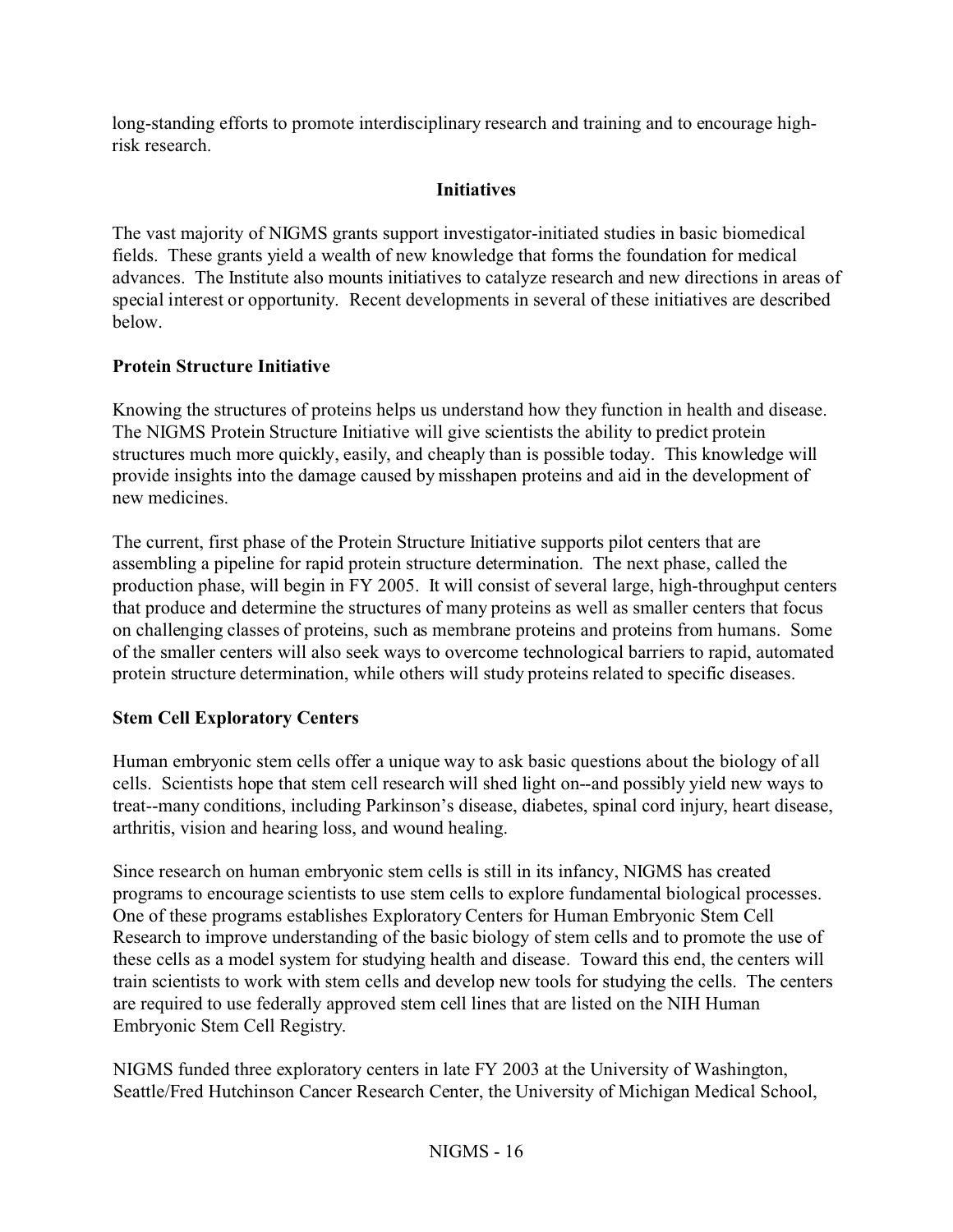long-standing efforts to promote interdisciplinary research and training and to encourage highrisk research.

# **Initiatives**

The vast majority of NIGMS grants support investigator-initiated studies in basic biomedical fields. These grants yield a wealth of new knowledge that forms the foundation for medical advances. The Institute also mounts initiatives to catalyze research and new directions in areas of special interest or opportunity. Recent developments in several of these initiatives are described below.

# **Protein Structure Initiative**

Knowing the structures of proteins helps us understand how they function in health and disease. The NIGMS Protein Structure Initiative will give scientists the ability to predict protein structures much more quickly, easily, and cheaply than is possible today. This knowledge will provide insights into the damage caused by misshapen proteins and aid in the development of new medicines.

The current, first phase of the Protein Structure Initiative supports pilot centers that are assembling a pipeline for rapid protein structure determination. The next phase, called the production phase, will begin in FY 2005. It will consist of several large, high-throughput centers that produce and determine the structures of many proteins as well as smaller centers that focus on challenging classes of proteins, such as membrane proteins and proteins from humans. Some of the smaller centers will also seek ways to overcome technological barriers to rapid, automated protein structure determination, while others will study proteins related to specific diseases.

# **Stem Cell Exploratory Centers**

Human embryonic stem cells offer a unique way to ask basic questions about the biology of all cells. Scientists hope that stem cell research will shed light on--and possibly yield new ways to treat--many conditions, including Parkinson's disease, diabetes, spinal cord injury, heart disease, arthritis, vision and hearing loss, and wound healing.

Since research on human embryonic stem cells is still in its infancy, NIGMS has created programs to encourage scientists to use stem cells to explore fundamental biological processes. One of these programs establishes Exploratory Centers for Human Embryonic Stem Cell Research to improve understanding of the basic biology of stem cells and to promote the use of these cells as a model system for studying health and disease. Toward this end, the centers will train scientists to work with stem cells and develop new tools for studying the cells. The centers are required to use federally approved stem cell lines that are listed on the NIH Human Embryonic Stem Cell Registry.

NIGMS funded three exploratory centers in late FY 2003 at the University of Washington, Seattle/Fred Hutchinson Cancer Research Center, the University of Michigan Medical School,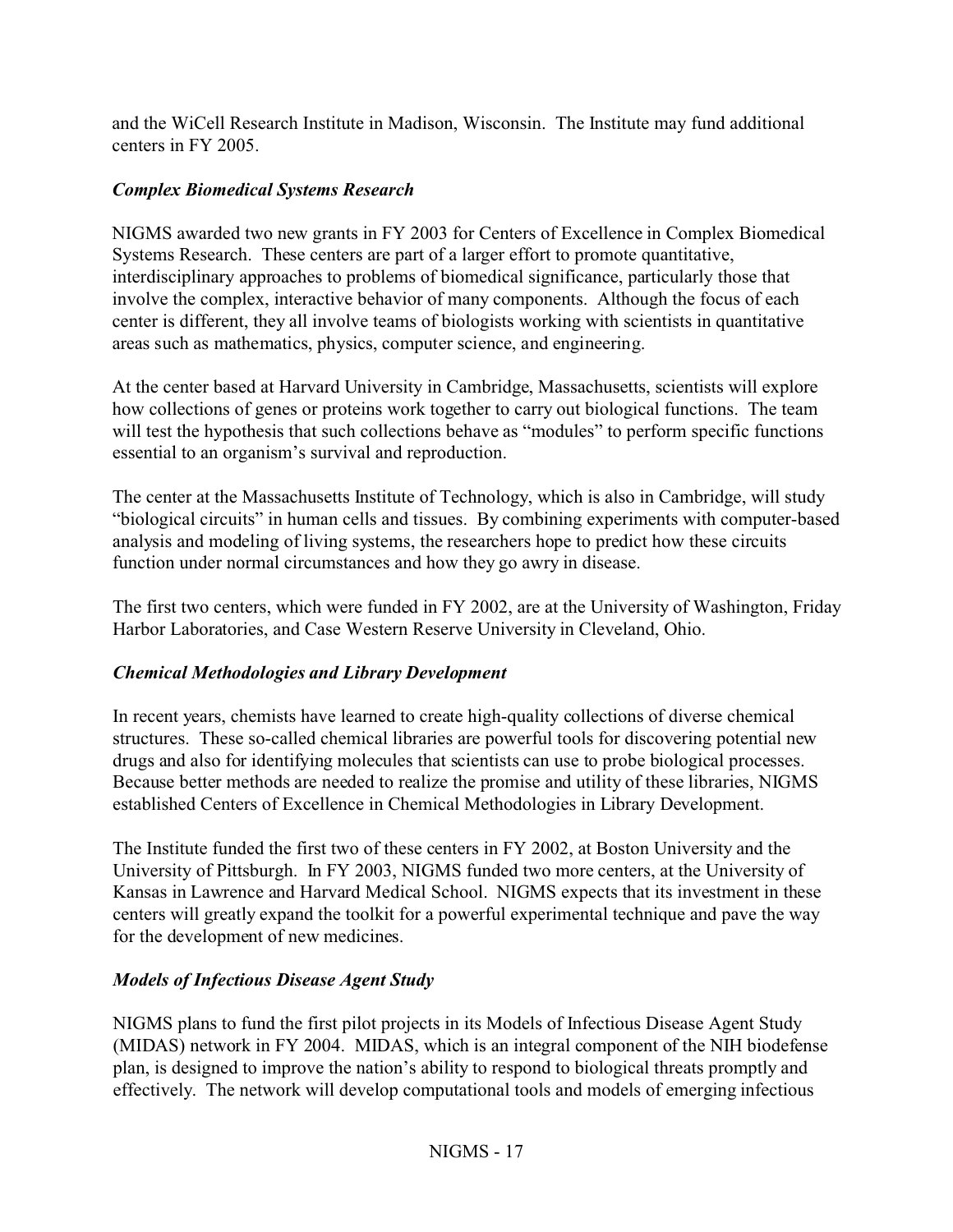and the WiCell Research Institute in Madison, Wisconsin. The Institute may fund additional centers in FY 2005.

# *Complex Biomedical Systems Research*

NIGMS awarded two new grants in FY 2003 for Centers of Excellence in Complex Biomedical Systems Research. These centers are part of a larger effort to promote quantitative, interdisciplinary approaches to problems of biomedical significance, particularly those that involve the complex, interactive behavior of many components. Although the focus of each center is different, they all involve teams of biologists working with scientists in quantitative areas such as mathematics, physics, computer science, and engineering.

At the center based at Harvard University in Cambridge, Massachusetts, scientists will explore how collections of genes or proteins work together to carry out biological functions. The team will test the hypothesis that such collections behave as "modules" to perform specific functions essential to an organism's survival and reproduction.

The center at the Massachusetts Institute of Technology, which is also in Cambridge, will study "biological circuits" in human cells and tissues. By combining experiments with computer-based analysis and modeling of living systems, the researchers hope to predict how these circuits function under normal circumstances and how they go awry in disease.

The first two centers, which were funded in FY 2002, are at the University of Washington, Friday Harbor Laboratories, and Case Western Reserve University in Cleveland, Ohio.

# *Chemical Methodologies and Library Development*

In recent years, chemists have learned to create high-quality collections of diverse chemical structures. These so-called chemical libraries are powerful tools for discovering potential new drugs and also for identifying molecules that scientists can use to probe biological processes. Because better methods are needed to realize the promise and utility of these libraries, NIGMS established Centers of Excellence in Chemical Methodologies in Library Development.

The Institute funded the first two of these centers in FY 2002, at Boston University and the University of Pittsburgh. In FY 2003, NIGMS funded two more centers, at the University of Kansas in Lawrence and Harvard Medical School. NIGMS expects that its investment in these centers will greatly expand the toolkit for a powerful experimental technique and pave the way for the development of new medicines.

# *Models of Infectious Disease Agent Study*

NIGMS plans to fund the first pilot projects in its Models of Infectious Disease Agent Study (MIDAS) network in FY 2004. MIDAS, which is an integral component of the NIH biodefense plan, is designed to improve the nation's ability to respond to biological threats promptly and effectively. The network will develop computational tools and models of emerging infectious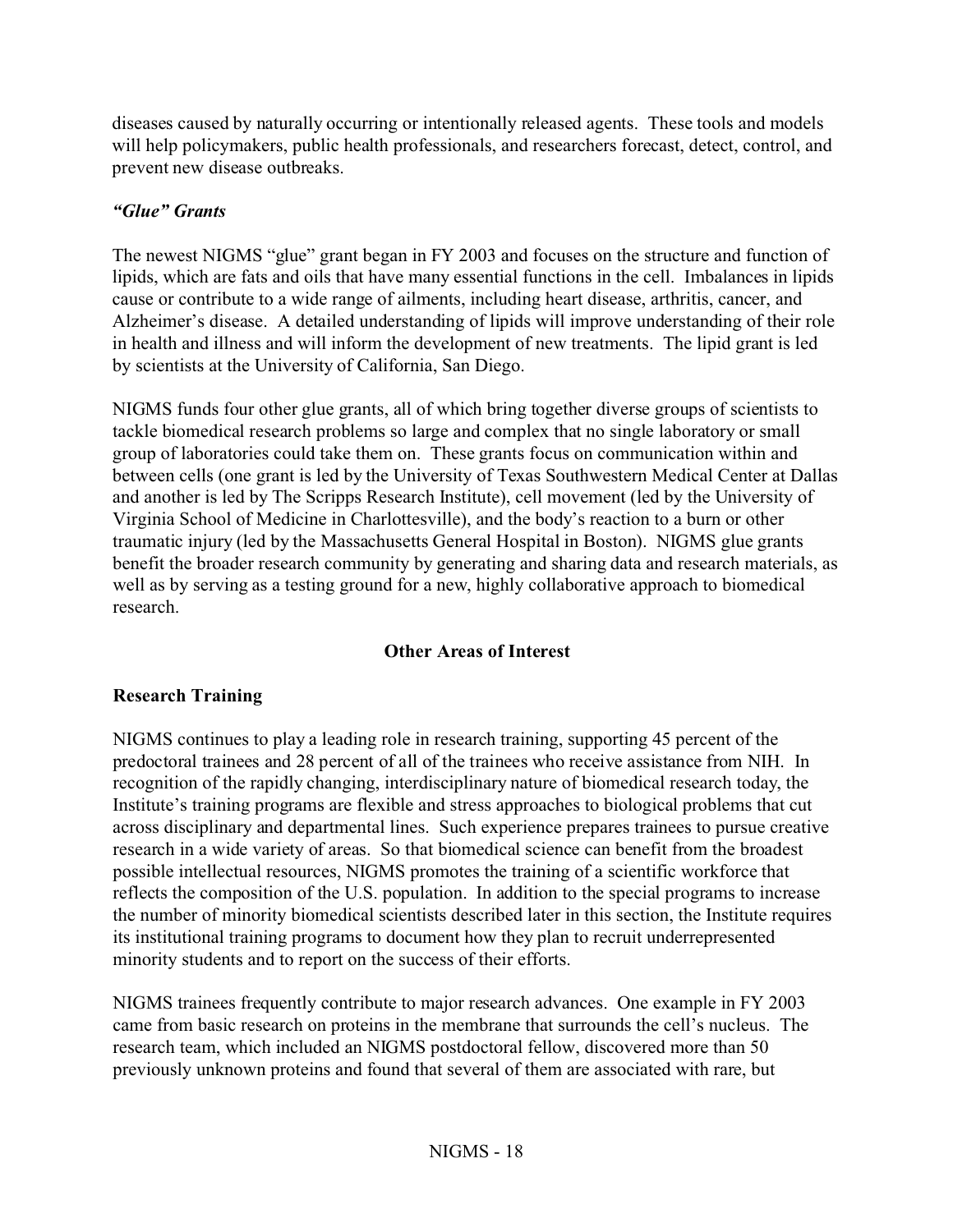diseases caused by naturally occurring or intentionally released agents. These tools and models will help policymakers, public health professionals, and researchers forecast, detect, control, and prevent new disease outbreaks.

# *"Glue" Grants*

The newest NIGMS "glue" grant began in FY 2003 and focuses on the structure and function of lipids, which are fats and oils that have many essential functions in the cell. Imbalances in lipids cause or contribute to a wide range of ailments, including heart disease, arthritis, cancer, and Alzheimer's disease. A detailed understanding of lipids will improve understanding of their role in health and illness and will inform the development of new treatments. The lipid grant is led by scientists at the University of California, San Diego.

NIGMS funds four other glue grants, all of which bring together diverse groups of scientists to tackle biomedical research problems so large and complex that no single laboratory or small group of laboratories could take them on. These grants focus on communication within and between cells (one grant is led by the University of Texas Southwestern Medical Center at Dallas and another is led by The Scripps Research Institute), cell movement (led by the University of Virginia School of Medicine in Charlottesville), and the body's reaction to a burn or other traumatic injury (led by the Massachusetts General Hospital in Boston). NIGMS glue grants benefit the broader research community by generating and sharing data and research materials, as well as by serving as a testing ground for a new, highly collaborative approach to biomedical research.

#### **Other Areas of Interest**

# **Research Training**

NIGMS continues to play a leading role in research training, supporting 45 percent of the predoctoral trainees and 28 percent of all of the trainees who receive assistance from NIH. In recognition of the rapidly changing, interdisciplinary nature of biomedical research today, the Institute's training programs are flexible and stress approaches to biological problems that cut across disciplinary and departmental lines. Such experience prepares trainees to pursue creative research in a wide variety of areas. So that biomedical science can benefit from the broadest possible intellectual resources, NIGMS promotes the training of a scientific workforce that reflects the composition of the U.S. population. In addition to the special programs to increase the number of minority biomedical scientists described later in this section, the Institute requires its institutional training programs to document how they plan to recruit underrepresented minority students and to report on the success of their efforts.

NIGMS trainees frequently contribute to major research advances. One example in FY 2003 came from basic research on proteins in the membrane that surrounds the cell's nucleus. The research team, which included an NIGMS postdoctoral fellow, discovered more than 50 previously unknown proteins and found that several of them are associated with rare, but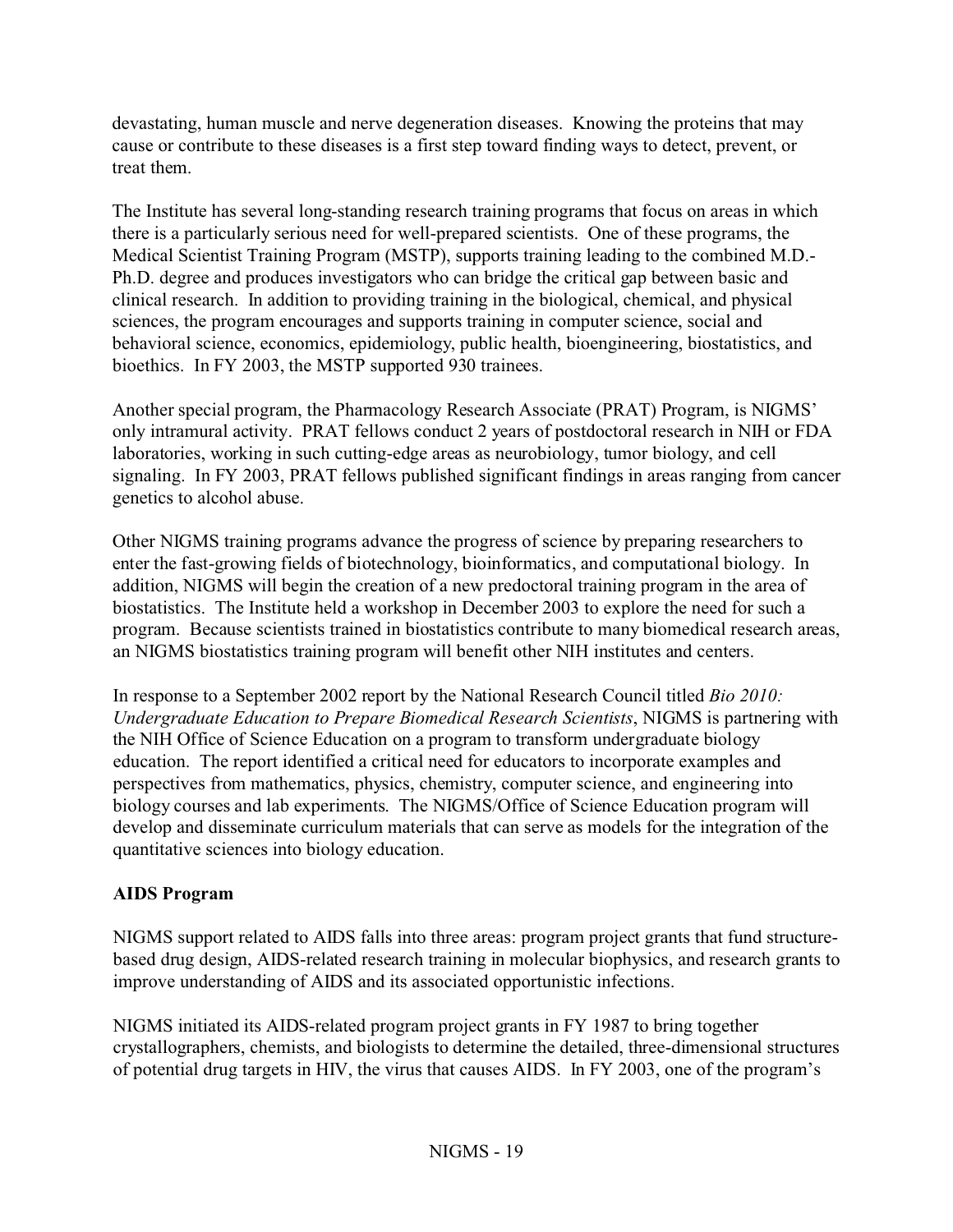devastating, human muscle and nerve degeneration diseases. Knowing the proteins that may cause or contribute to these diseases is a first step toward finding ways to detect, prevent, or treat them.

The Institute has several long-standing research training programs that focus on areas in which there is a particularly serious need for well-prepared scientists. One of these programs, the Medical Scientist Training Program (MSTP), supports training leading to the combined M.D. Ph.D. degree and produces investigators who can bridge the critical gap between basic and clinical research. In addition to providing training in the biological, chemical, and physical sciences, the program encourages and supports training in computer science, social and behavioral science, economics, epidemiology, public health, bioengineering, biostatistics, and bioethics. In FY 2003, the MSTP supported 930 trainees.

Another special program, the Pharmacology Research Associate (PRAT) Program, is NIGMS' only intramural activity. PRAT fellows conduct 2 years of postdoctoral research in NIH or FDA laboratories, working in such cutting-edge areas as neurobiology, tumor biology, and cell signaling. In FY 2003, PRAT fellows published significant findings in areas ranging from cancer genetics to alcohol abuse.

Other NIGMS training programs advance the progress of science by preparing researchers to enter the fast-growing fields of biotechnology, bioinformatics, and computational biology. In addition, NIGMS will begin the creation of a new predoctoral training program in the area of biostatistics. The Institute held a workshop in December 2003 to explore the need for such a program. Because scientists trained in biostatistics contribute to many biomedical research areas, an NIGMS biostatistics training program will benefit other NIH institutes and centers.

In response to a September 2002 report by the National Research Council titled *Bio 2010: Undergraduate Education to Prepare Biomedical Research Scientists*, NIGMS is partnering with the NIH Office of Science Education on a program to transform undergraduate biology education. The report identified a critical need for educators to incorporate examples and perspectives from mathematics, physics, chemistry, computer science, and engineering into biology courses and lab experiments. The NIGMS/Office of Science Education program will develop and disseminate curriculum materials that can serve as models for the integration of the quantitative sciences into biology education.

# **AIDS Program**

NIGMS support related to AIDS falls into three areas: program project grants that fund structurebased drug design, AIDS-related research training in molecular biophysics, and research grants to improve understanding of AIDS and its associated opportunistic infections.

NIGMS initiated its AIDS-related program project grants in FY 1987 to bring together crystallographers, chemists, and biologists to determine the detailed, three-dimensional structures of potential drug targets in HIV, the virus that causes AIDS. In FY 2003, one of the program's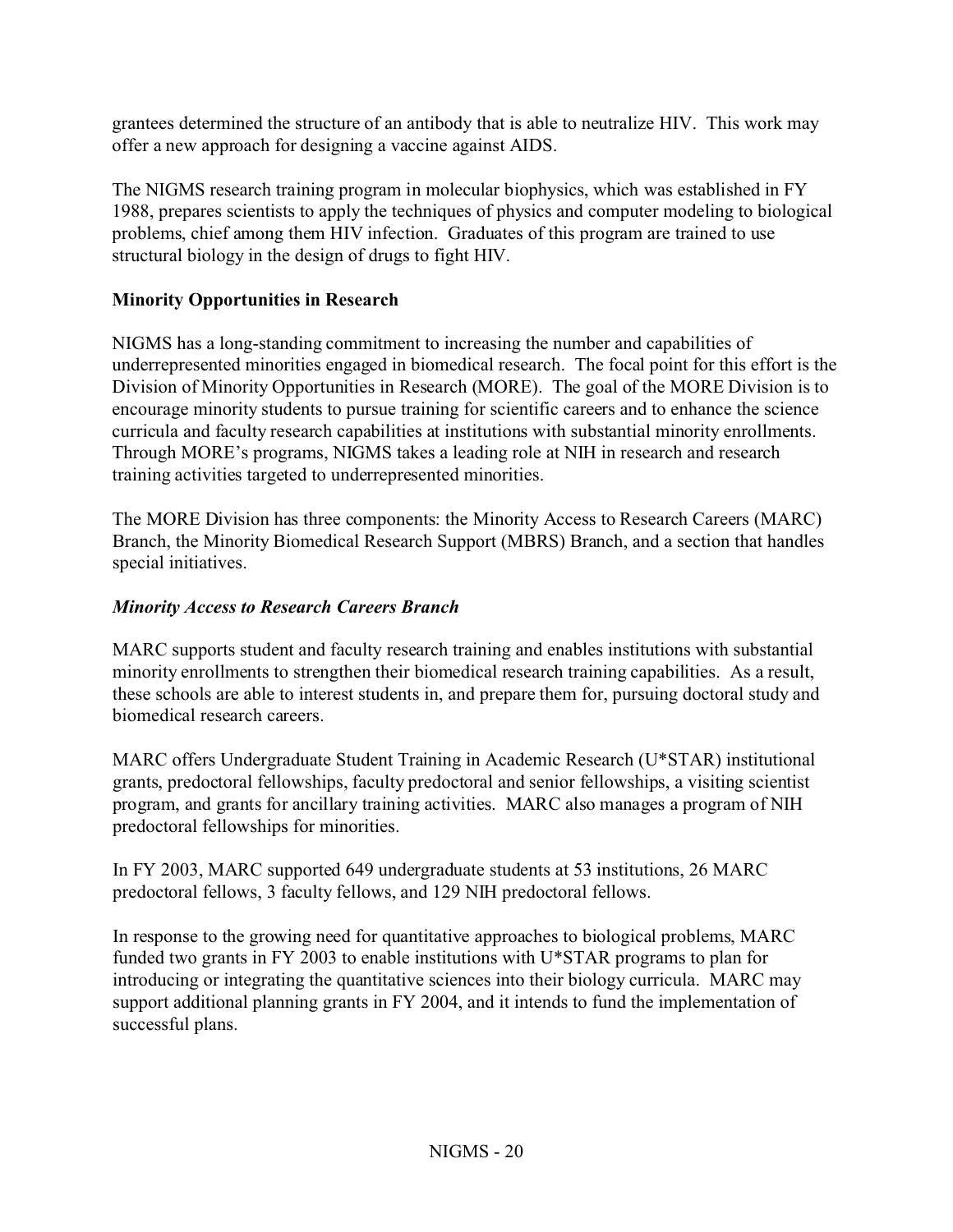grantees determined the structure of an antibody that is able to neutralize HIV. This work may offer a new approach for designing a vaccine against AIDS.

The NIGMS research training program in molecular biophysics, which was established in FY 1988, prepares scientists to apply the techniques of physics and computer modeling to biological problems, chief among them HIV infection. Graduates of this program are trained to use structural biology in the design of drugs to fight HIV.

# **Minority Opportunities in Research**

NIGMS has a long-standing commitment to increasing the number and capabilities of underrepresented minorities engaged in biomedical research. The focal point for this effort is the Division of Minority Opportunities in Research (MORE). The goal of the MORE Division is to encourage minority students to pursue training for scientific careers and to enhance the science curricula and faculty research capabilities at institutions with substantial minority enrollments. Through MORE's programs, NIGMS takes a leading role at NIH in research and research training activities targeted to underrepresented minorities.

The MORE Division has three components: the Minority Access to Research Careers (MARC) Branch, the Minority Biomedical Research Support (MBRS) Branch, and a section that handles special initiatives.

# *Minority Access to Research Careers Branch*

MARC supports student and faculty research training and enables institutions with substantial minority enrollments to strengthen their biomedical research training capabilities. As a result, these schools are able to interest students in, and prepare them for, pursuing doctoral study and biomedical research careers.

MARC offers Undergraduate Student Training in Academic Research (U\*STAR) institutional grants, predoctoral fellowships, faculty predoctoral and senior fellowships, a visiting scientist program, and grants for ancillary training activities. MARC also manages a program of NIH predoctoral fellowships for minorities.

In FY 2003, MARC supported 649 undergraduate students at 53 institutions, 26 MARC predoctoral fellows, 3 faculty fellows, and 129 NIH predoctoral fellows.

In response to the growing need for quantitative approaches to biological problems, MARC funded two grants in FY 2003 to enable institutions with U\*STAR programs to plan for introducing or integrating the quantitative sciences into their biology curricula. MARC may support additional planning grants in FY 2004, and it intends to fund the implementation of successful plans.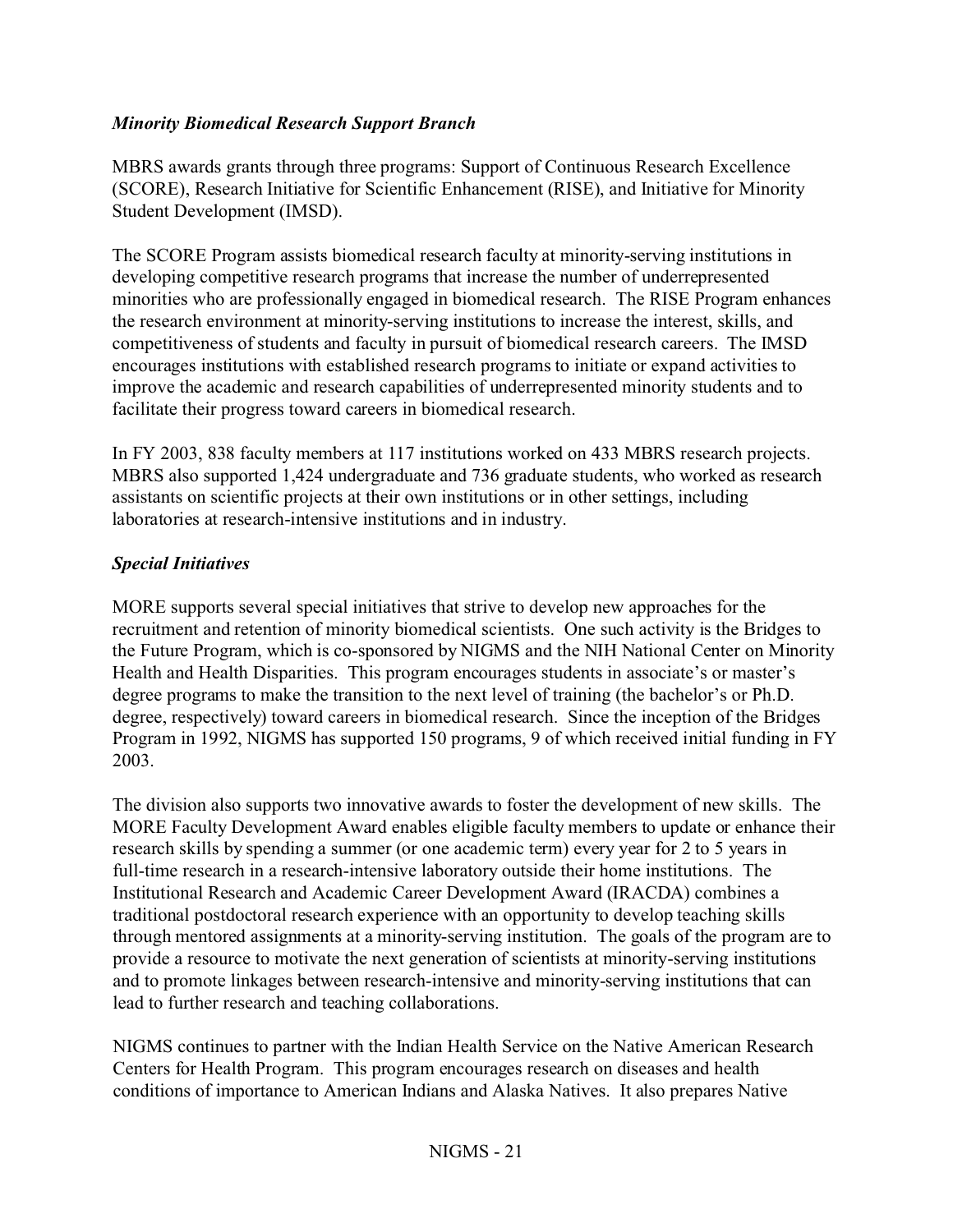#### *Minority Biomedical Research Support Branch*

MBRS awards grants through three programs: Support of Continuous Research Excellence (SCORE), Research Initiative for Scientific Enhancement (RISE), and Initiative for Minority Student Development (IMSD).

The SCORE Program assists biomedical research faculty at minority-serving institutions in developing competitive research programs that increase the number of underrepresented minorities who are professionally engaged in biomedical research. The RISE Program enhances the research environment at minority-serving institutions to increase the interest, skills, and competitiveness of students and faculty in pursuit of biomedical research careers. The IMSD encourages institutions with established research programs to initiate or expand activities to improve the academic and research capabilities of underrepresented minority students and to facilitate their progress toward careers in biomedical research.

In FY 2003, 838 faculty members at 117 institutions worked on 433 MBRS research projects. MBRS also supported 1,424 undergraduate and 736 graduate students, who worked as research assistants on scientific projects at their own institutions or in other settings, including laboratories at research-intensive institutions and in industry.

#### *Special Initiatives*

MORE supports several special initiatives that strive to develop new approaches for the recruitment and retention of minority biomedical scientists. One such activity is the Bridges to the Future Program, which is co-sponsored by NIGMS and the NIH National Center on Minority Health and Health Disparities. This program encourages students in associate's or master's degree programs to make the transition to the next level of training (the bachelor's or Ph.D. degree, respectively) toward careers in biomedical research. Since the inception of the Bridges Program in 1992, NIGMS has supported 150 programs, 9 of which received initial funding in FY 2003.

The division also supports two innovative awards to foster the development of new skills. The MORE Faculty Development Award enables eligible faculty members to update or enhance their research skills by spending a summer (or one academic term) every year for 2 to 5 years in full-time research in a research-intensive laboratory outside their home institutions. The Institutional Research and Academic Career Development Award (IRACDA) combines a traditional postdoctoral research experience with an opportunity to develop teaching skills through mentored assignments at a minority-serving institution. The goals of the program are to provide a resource to motivate the next generation of scientists at minority-serving institutions and to promote linkages between research-intensive and minority-serving institutions that can lead to further research and teaching collaborations.

NIGMS continues to partner with the Indian Health Service on the Native American Research Centers for Health Program. This program encourages research on diseases and health conditions of importance to American Indians and Alaska Natives. It also prepares Native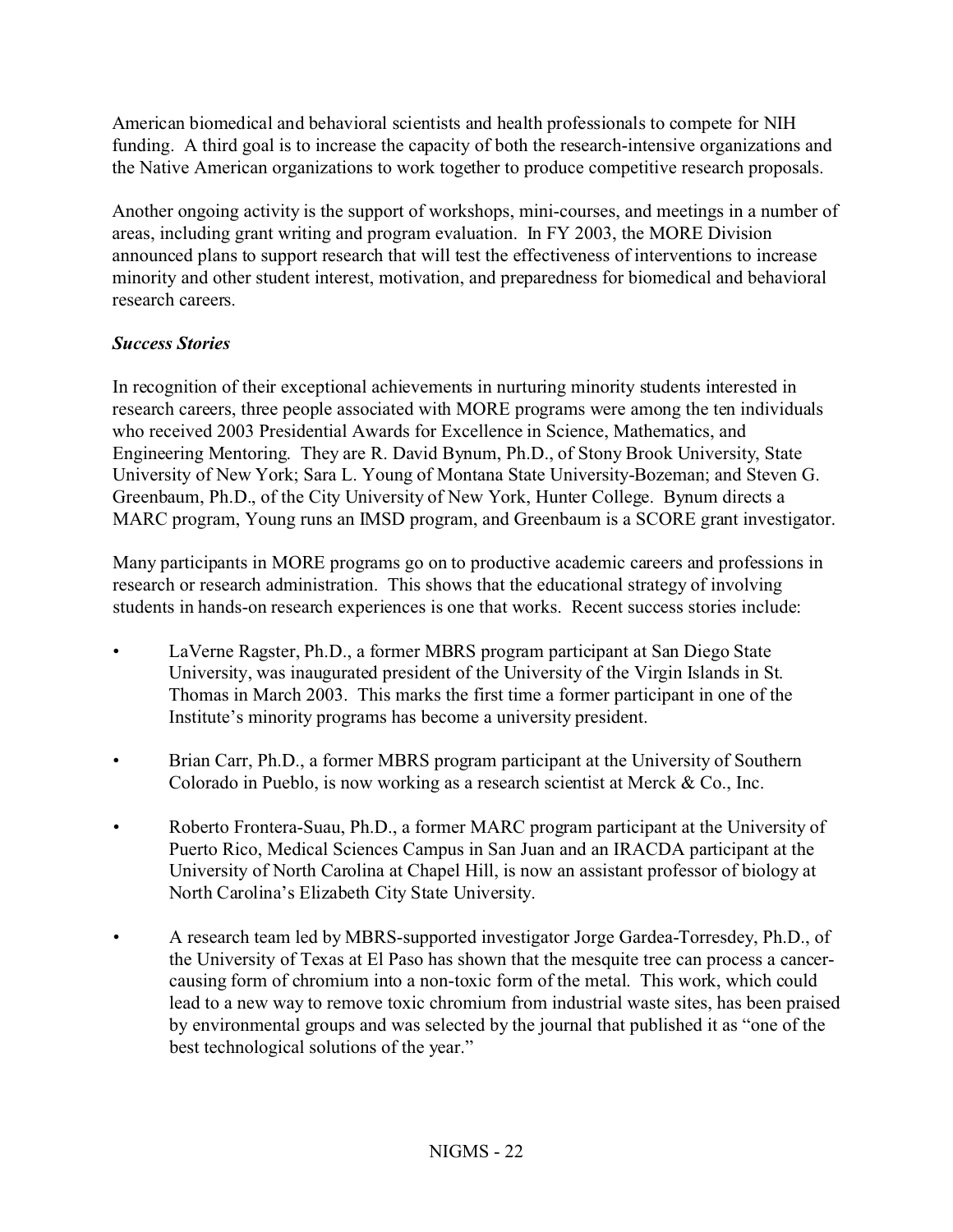American biomedical and behavioral scientists and health professionals to compete for NIH funding. A third goal is to increase the capacity of both the research-intensive organizations and the Native American organizations to work together to produce competitive research proposals.

Another ongoing activity is the support of workshops, mini-courses, and meetings in a number of areas, including grant writing and program evaluation. In FY 2003, the MORE Division announced plans to support research that will test the effectiveness of interventions to increase minority and other student interest, motivation, and preparedness for biomedical and behavioral research careers.

# *Success Stories*

In recognition of their exceptional achievements in nurturing minority students interested in research careers, three people associated with MORE programs were among the ten individuals who received 2003 Presidential Awards for Excellence in Science, Mathematics, and Engineering Mentoring. They are R. David Bynum, Ph.D., of Stony Brook University, State University of New York; Sara L. Young of Montana State University-Bozeman; and Steven G. Greenbaum, Ph.D., of the City University of New York, Hunter College. Bynum directs a MARC program, Young runs an IMSD program, and Greenbaum is a SCORE grant investigator.

Many participants in MORE programs go on to productive academic careers and professions in research or research administration. This shows that the educational strategy of involving students in hands-on research experiences is one that works. Recent success stories include:

- LaVerne Ragster, Ph.D., a former MBRS program participant at San Diego State University, was inaugurated president of the University of the Virgin Islands in St. Thomas in March 2003. This marks the first time a former participant in one of the Institute's minority programs has become a university president.
- Brian Carr, Ph.D., a former MBRS program participant at the University of Southern Colorado in Pueblo, is now working as a research scientist at Merck & Co., Inc.
- Roberto Frontera-Suau, Ph.D., a former MARC program participant at the University of Puerto Rico, Medical Sciences Campus in San Juan and an IRACDA participant at the University of North Carolina at Chapel Hill, is now an assistant professor of biology at North Carolina's Elizabeth City State University.
- A research team led by MBRS-supported investigator Jorge Gardea-Torresdey, Ph.D., of the University of Texas at El Paso has shown that the mesquite tree can process a cancercausing form of chromium into a non-toxic form of the metal. This work, which could lead to a new way to remove toxic chromium from industrial waste sites, has been praised by environmental groups and was selected by the journal that published it as "one of the best technological solutions of the year."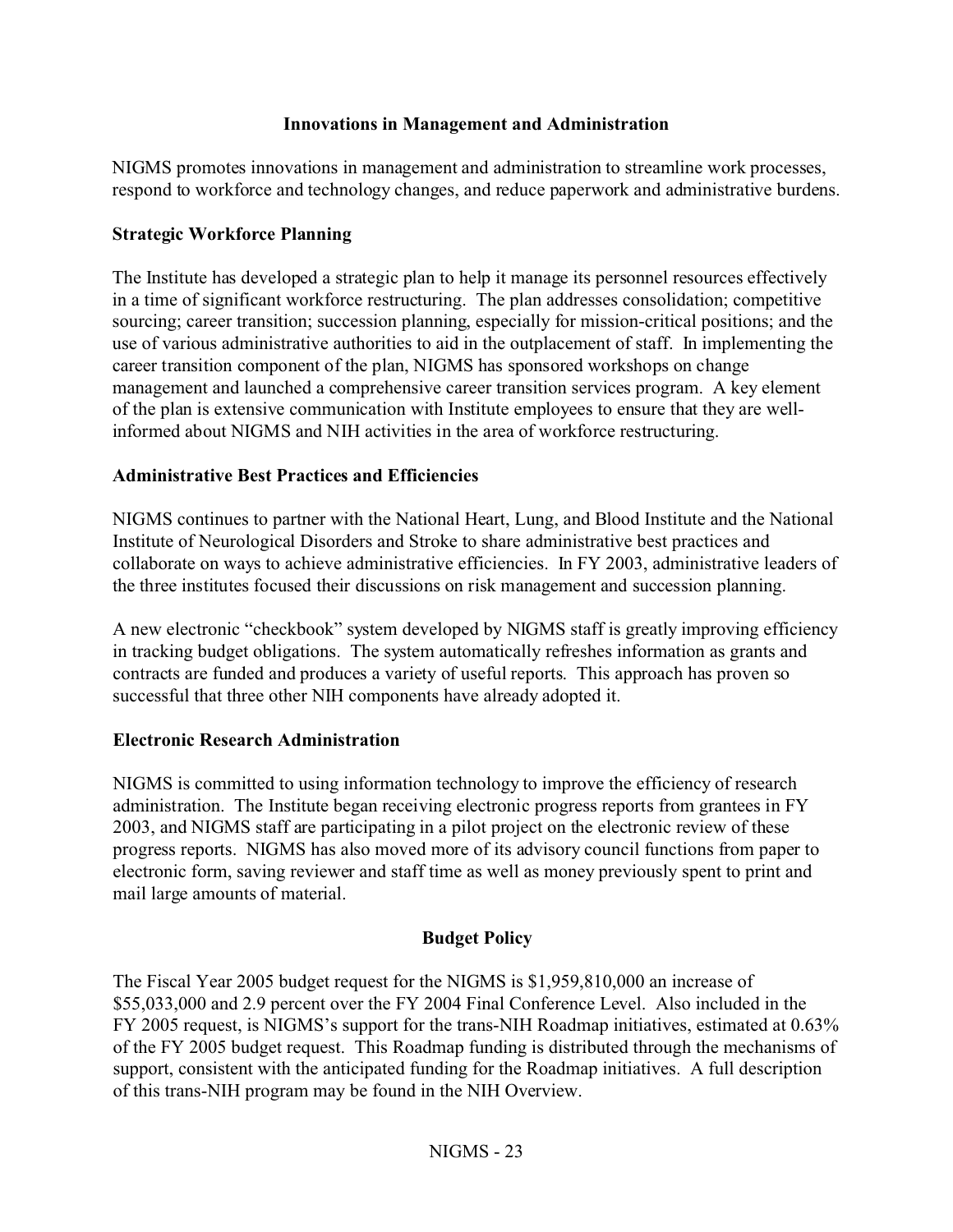#### **Innovations in Management and Administration**

NIGMS promotes innovations in management and administration to streamline work processes, respond to workforce and technology changes, and reduce paperwork and administrative burdens.

#### **Strategic Workforce Planning**

The Institute has developed a strategic plan to help it manage its personnel resources effectively in a time of significant workforce restructuring. The plan addresses consolidation; competitive sourcing; career transition; succession planning, especially for mission-critical positions; and the use of various administrative authorities to aid in the outplacement of staff. In implementing the career transition component of the plan, NIGMS has sponsored workshops on change management and launched a comprehensive career transition services program. A key element of the plan is extensive communication with Institute employees to ensure that they are wellinformed about NIGMS and NIH activities in the area of workforce restructuring.

#### **Administrative Best Practices and Efficiencies**

NIGMS continues to partner with the National Heart, Lung, and Blood Institute and the National Institute of Neurological Disorders and Stroke to share administrative best practices and collaborate on ways to achieve administrative efficiencies. In FY 2003, administrative leaders of the three institutes focused their discussions on risk management and succession planning.

A new electronic "checkbook" system developed by NIGMS staff is greatly improving efficiency in tracking budget obligations. The system automatically refreshes information as grants and contracts are funded and produces a variety of useful reports. This approach has proven so successful that three other NIH components have already adopted it.

#### **Electronic Research Administration**

NIGMS is committed to using information technology to improve the efficiency of research administration. The Institute began receiving electronic progress reports from grantees in FY 2003, and NIGMS staff are participating in a pilot project on the electronic review of these progress reports. NIGMS has also moved more of its advisory council functions from paper to electronic form, saving reviewer and staff time as well as money previously spent to print and mail large amounts of material.

#### **Budget Policy**

The Fiscal Year 2005 budget request for the NIGMS is \$1,959,810,000 an increase of \$55,033,000 and 2.9 percent over the FY 2004 Final Conference Level. Also included in the FY 2005 request, is NIGMS's support for the trans-NIH Roadmap initiatives, estimated at 0.63% of the FY 2005 budget request. This Roadmap funding is distributed through the mechanisms of support, consistent with the anticipated funding for the Roadmap initiatives. A full description of this trans-NIH program may be found in the NIH Overview.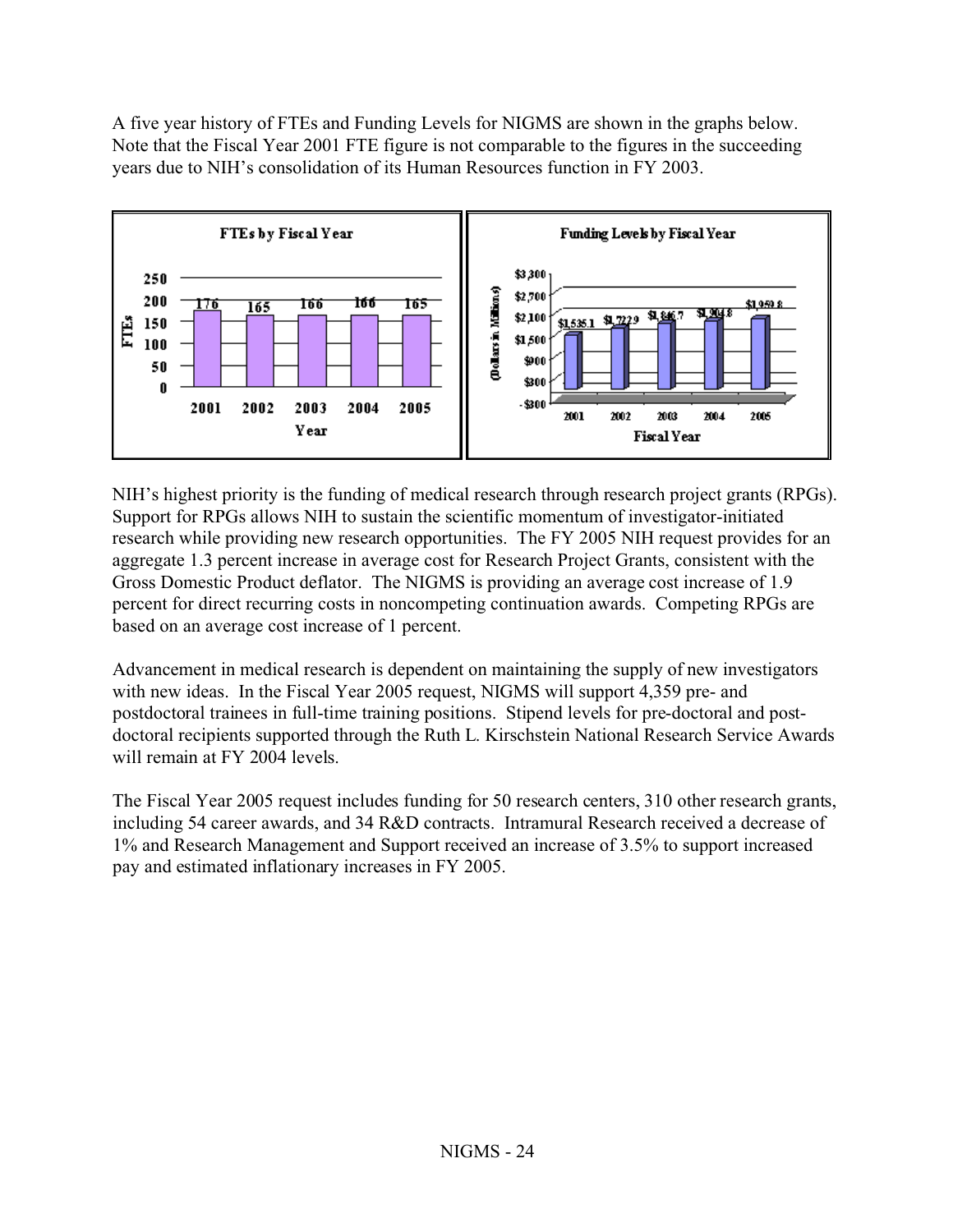A five year history of FTEs and Funding Levels for NIGMS are shown in the graphs below. Note that the Fiscal Year 2001 FTE figure is not comparable to the figures in the succeeding years due to NIH's consolidation of its Human Resources function in FY 2003.



NIH's highest priority is the funding of medical research through research project grants (RPGs). Support for RPGs allows NIH to sustain the scientific momentum of investigator-initiated research while providing new research opportunities. The FY 2005 NIH request provides for an aggregate 1.3 percent increase in average cost for Research Project Grants, consistent with the Gross Domestic Product deflator. The NIGMS is providing an average cost increase of 1.9 percent for direct recurring costs in noncompeting continuation awards. Competing RPGs are based on an average cost increase of 1 percent.

Advancement in medical research is dependent on maintaining the supply of new investigators with new ideas. In the Fiscal Year 2005 request, NIGMS will support 4,359 pre- and postdoctoral trainees in full-time training positions. Stipend levels for pre-doctoral and postdoctoral recipients supported through the Ruth L. Kirschstein National Research Service Awards will remain at FY 2004 levels.

The Fiscal Year 2005 request includes funding for 50 research centers, 310 other research grants, including 54 career awards, and 34 R&D contracts. Intramural Research received a decrease of 1% and Research Management and Support received an increase of 3.5% to support increased pay and estimated inflationary increases in FY 2005.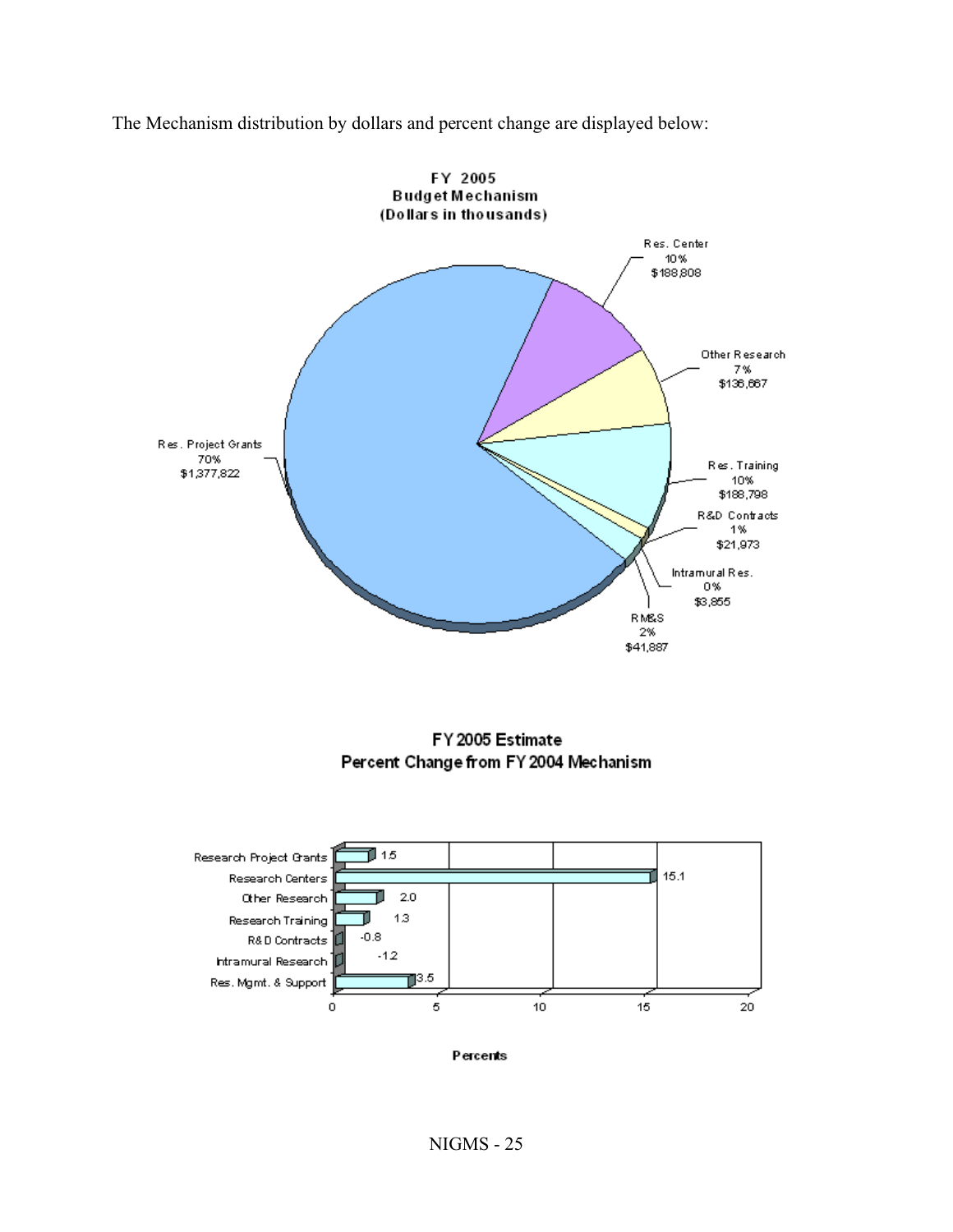The Mechanism distribution by dollars and percent change are displayed below:



FY 2005 Estimate Percent Change from FY 2004 Mechanism



Percents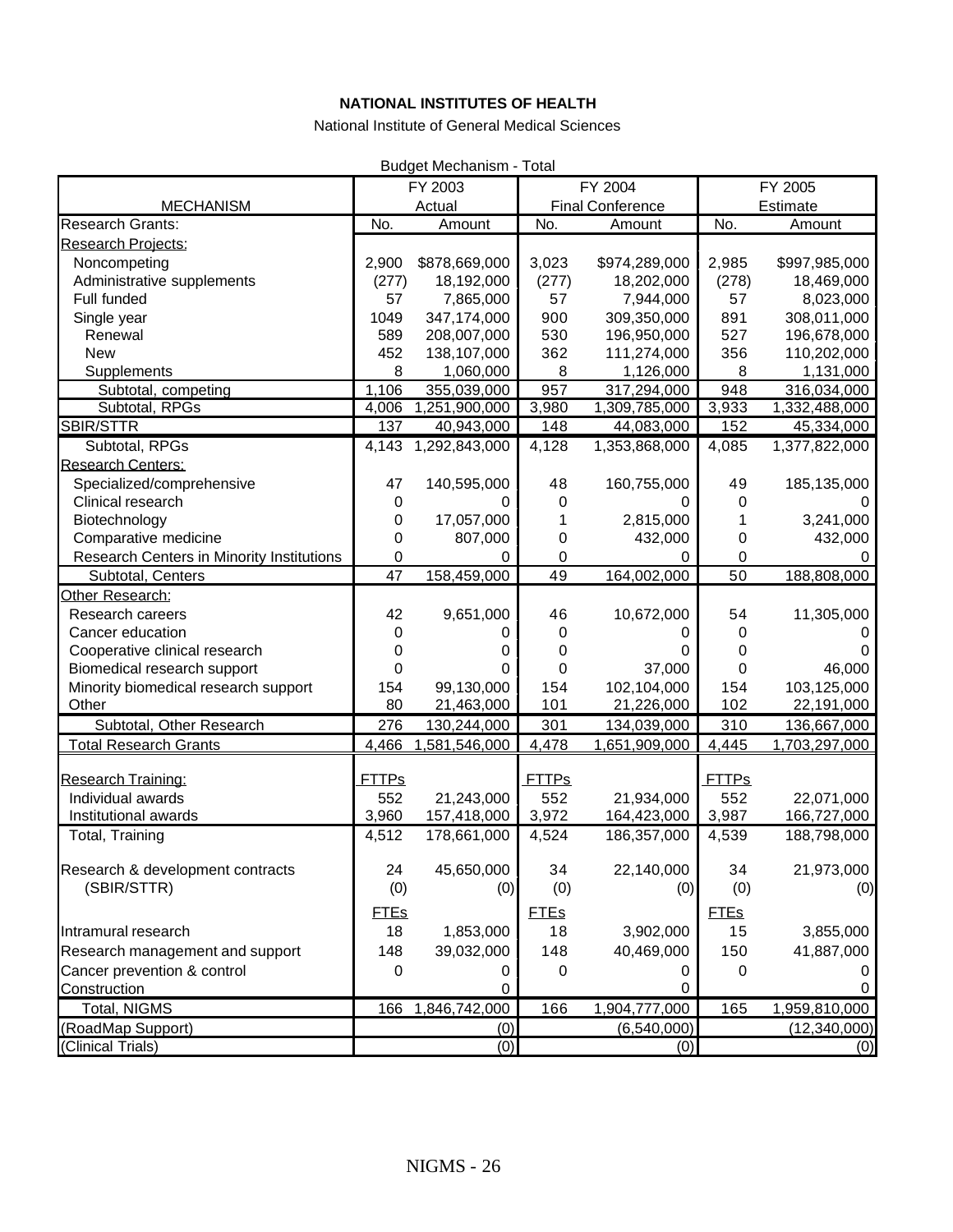#### **NATIONAL INSTITUTES OF HEALTH**

National Institute of General Medical Sciences

| <b>Budget Mechanism - Total</b>           |              |               |              |                         |              |                |
|-------------------------------------------|--------------|---------------|--------------|-------------------------|--------------|----------------|
|                                           |              | FY 2003       |              | FY 2004                 |              | FY 2005        |
| <b>MECHANISM</b>                          |              | Actual        |              | <b>Final Conference</b> |              | Estimate       |
| <b>Research Grants:</b>                   | No.          | Amount        | No.          | Amount                  | No.          | Amount         |
| Research Projects:                        |              |               |              |                         |              |                |
| Noncompeting                              | 2,900        | \$878,669,000 | 3,023        | \$974,289,000           | 2,985        | \$997,985,000  |
| Administrative supplements                | (277)        | 18,192,000    | (277)        | 18,202,000              | (278)        | 18,469,000     |
| Full funded                               | 57           | 7,865,000     | 57           | 7,944,000               | 57           | 8,023,000      |
| Single year                               | 1049         | 347,174,000   | 900          | 309,350,000             | 891          | 308,011,000    |
| Renewal                                   | 589          | 208,007,000   | 530          | 196,950,000             | 527          | 196,678,000    |
| <b>New</b>                                | 452          | 138,107,000   | 362          | 111,274,000             | 356          | 110,202,000    |
| Supplements                               | 8            | 1,060,000     | 8            | 1,126,000               | 8            | 1,131,000      |
| Subtotal, competing                       | 1,106        | 355,039,000   | 957          | 317,294,000             | 948          | 316,034,000    |
| Subtotal, RPGs                            | 4,006        | 1,251,900,000 | 3,980        | 1,309,785,000           | 3,933        | 1,332,488,000  |
| SBIR/STTR                                 | 137          | 40,943,000    | 148          | 44,083,000              | 152          | 45,334,000     |
| Subtotal, RPGs                            | 4,143        | 1,292,843,000 | 4,128        | 1,353,868,000           | 4,085        | 1,377,822,000  |
| Research Centers:                         |              |               |              |                         |              |                |
| Specialized/comprehensive                 | 47           | 140,595,000   | 48           | 160,755,000             | 49           | 185,135,000    |
| Clinical research                         | 0            | $^{(1)}$      | 0            | O                       | 0            |                |
| Biotechnology                             | 0            | 17,057,000    |              | 2,815,000               |              | 3,241,000      |
| Comparative medicine                      | 0            | 807,000       | 0            | 432,000                 | 0            | 432,000        |
| Research Centers in Minority Institutions | 0            | 0             | 0            | 0                       | 0            | 0              |
| Subtotal, Centers                         | 47           | 158,459,000   | 49           | 164,002,000             | 50           | 188,808,000    |
| Other Research:                           |              |               |              |                         |              |                |
| Research careers                          | 42           | 9,651,000     | 46           | 10,672,000              | 54           | 11,305,000     |
| Cancer education                          | 0            | 0             | 0            | O                       | 0            |                |
| Cooperative clinical research             | 0            | 0             | 0            | 0                       | 0            |                |
| Biomedical research support               | 0            | O             | 0            | 37,000                  | 0            | 46,000         |
| Minority biomedical research support      | 154          | 99,130,000    | 154          | 102,104,000             | 154          | 103,125,000    |
| Other                                     | 80           | 21,463,000    | 101          | 21,226,000              | 102          | 22,191,000     |
| Subtotal, Other Research                  | 276          | 130,244,000   | 301          | 134,039,000             | 310          | 136,667,000    |
| <b>Total Research Grants</b>              | 4,466        | 1,581,546,000 | 4,478        | 1,651,909,000           | 4,445        | 1,703,297,000  |
|                                           |              |               |              |                         |              |                |
| Research Training:                        | <b>FTTPs</b> |               | <b>FTTPs</b> |                         | <b>FTTPs</b> |                |
| Individual awards                         | 552          | 21,243,000    | 552          | 21,934,000              | 552          | 22,071,000     |
| Institutional awards                      | 3,960        | 157,418,000   | 3,972        | 164,423,000             | 3,987        | 166,727,000    |
| Total, Training                           | 4,512        | 178,661,000   | 4,524        | 186,357,000             | 4,539        | 188,798,000    |
|                                           |              |               |              |                         |              |                |
| Research & development contracts          | 24           | 45,650,000    | 34           | 22,140,000              | 34           | 21,973,000     |
| (SBIR/STTR)                               | (0)          | (0)           | (0)          | (0)                     | (0)          | (0)            |
|                                           | <b>FTEs</b>  |               | <b>FTEs</b>  |                         | <b>FTEs</b>  |                |
| Intramural research                       | 18           | 1,853,000     | 18           | 3,902,000               | 15           | 3,855,000      |
| Research management and support           | 148          | 39,032,000    | 148          | 40,469,000              | 150          | 41,887,000     |
| Cancer prevention & control               | 0            | O             | 0            | 0                       | 0            |                |
| Construction                              |              | 0             |              | 0                       |              |                |
| Total, NIGMS                              | 166          | 1,846,742,000 | 166          | 1,904,777,000           | 165          | 1,959,810,000  |
| (RoadMap Support)                         |              | (0)           |              | (6, 540, 000)           |              | (12, 340, 000) |
| (Clinical Trials)                         |              | (0)           |              | (0)                     |              | (0)            |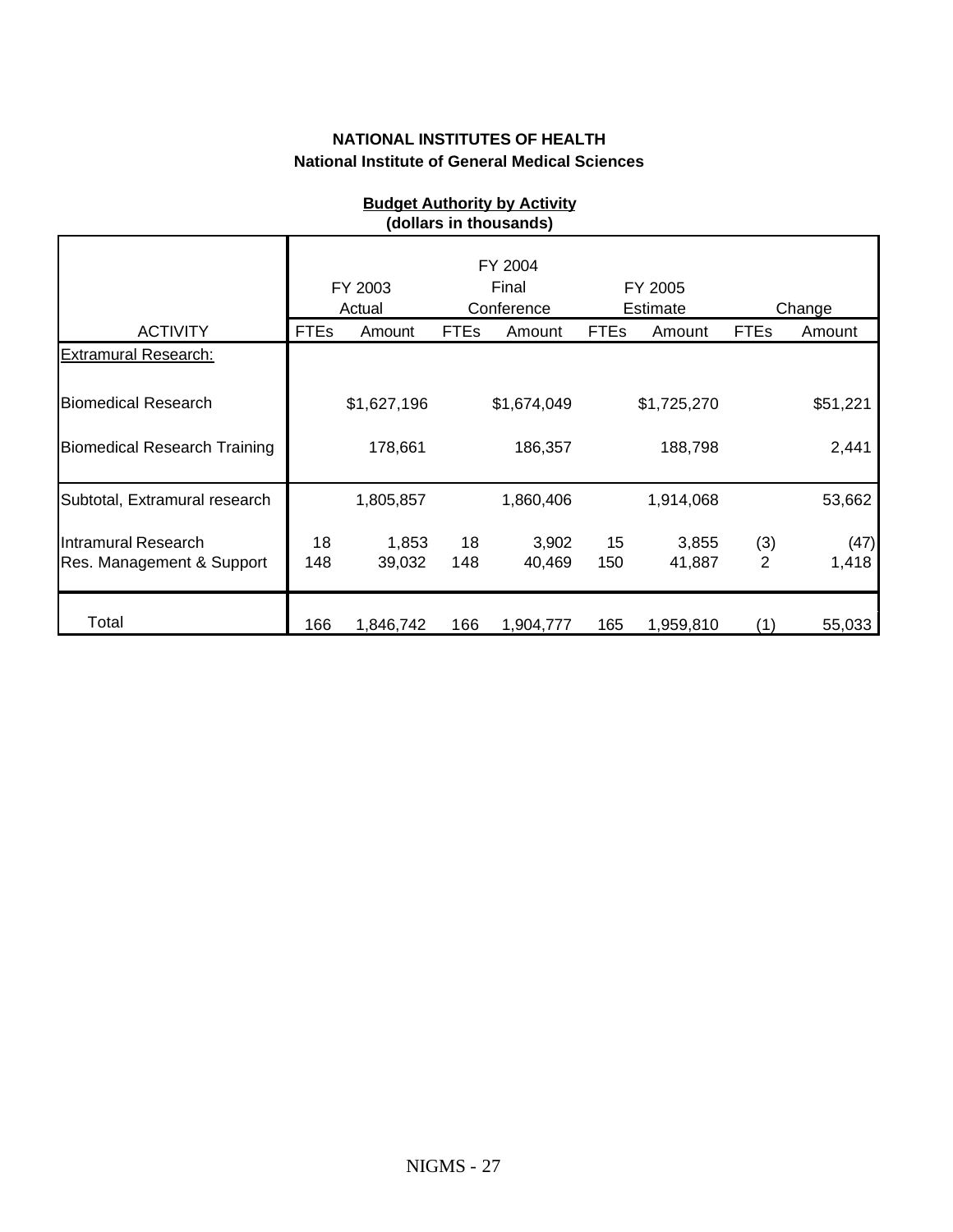|                                                  |             | FY 2003<br>Actual |             | FY 2004<br>Final<br>Conference |             | FY 2005<br>Estimate |                       | Change        |
|--------------------------------------------------|-------------|-------------------|-------------|--------------------------------|-------------|---------------------|-----------------------|---------------|
| <b>ACTIVITY</b>                                  | <b>FTEs</b> | Amount            | <b>FTEs</b> | Amount                         | <b>FTEs</b> | Amount              | <b>FTEs</b>           | Amount        |
| <b>Extramural Research:</b>                      |             |                   |             |                                |             |                     |                       |               |
| <b>Biomedical Research</b>                       |             | \$1,627,196       |             | \$1,674,049                    |             | \$1,725,270         |                       | \$51,221      |
| <b>Biomedical Research Training</b>              |             | 178,661           |             | 186,357                        |             | 188,798             |                       | 2,441         |
| Subtotal, Extramural research                    |             | 1,805,857         |             | 1,860,406                      |             | 1,914,068           |                       | 53,662        |
| Intramural Research<br>Res. Management & Support | 18<br>148   | 1,853<br>39,032   | 18<br>148   | 3,902<br>40,469                | 15<br>150   | 3,855<br>41,887     | (3)<br>$\overline{2}$ | (47)<br>1,418 |
| Total                                            | 166         | 1,846,742         | 166         | 1,904,777                      | 165         | 1,959,810           | (1)                   | 55,033        |

#### **Budget Authority by Activity (dollars in thousands)**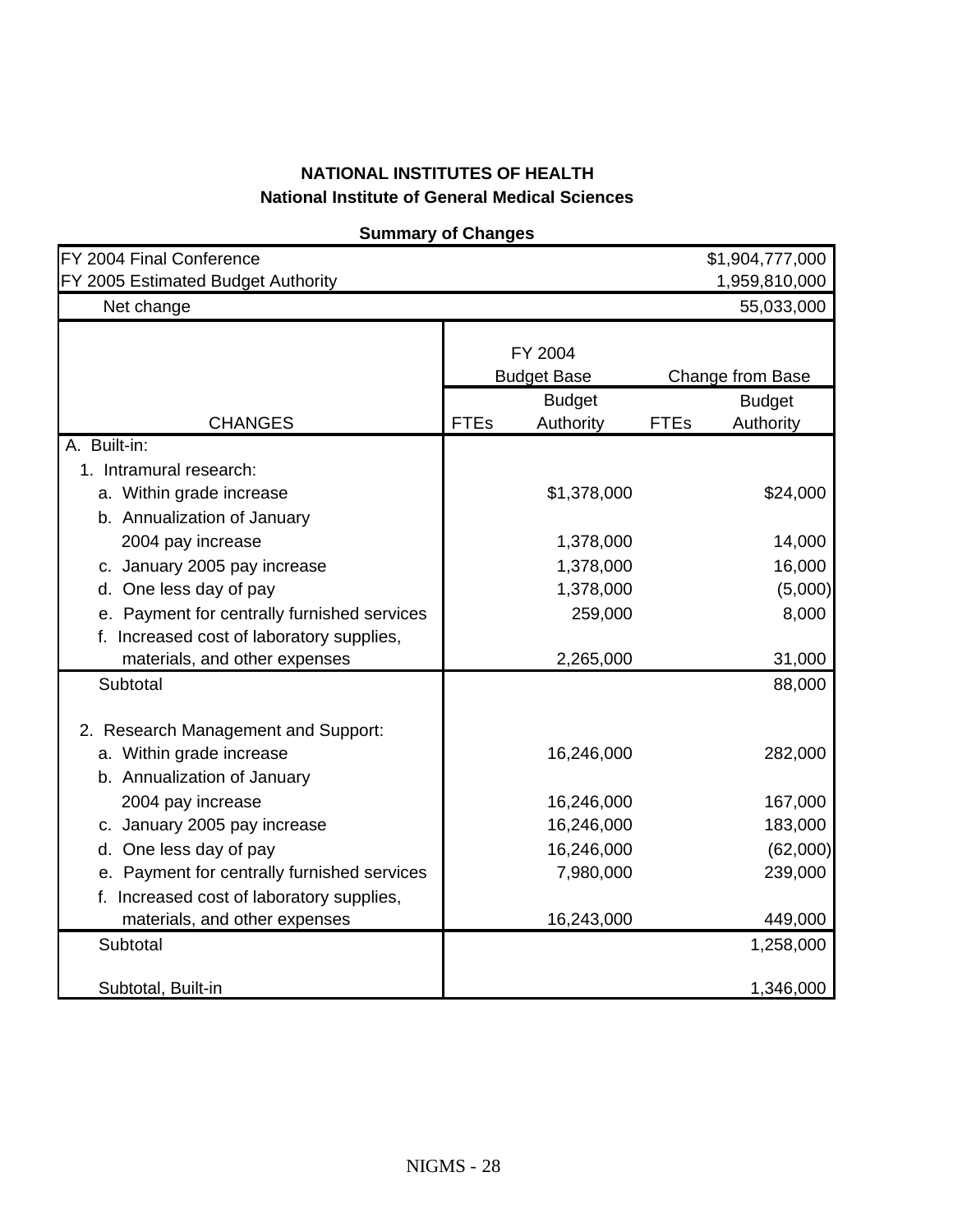| <b>Summary of Changes</b>                   |             |                    |             |                         |
|---------------------------------------------|-------------|--------------------|-------------|-------------------------|
| FY 2004 Final Conference                    |             |                    |             | \$1,904,777,000         |
| FY 2005 Estimated Budget Authority          |             |                    |             | 1,959,810,000           |
| Net change                                  |             |                    |             | 55,033,000              |
|                                             |             |                    |             |                         |
|                                             |             | FY 2004            |             |                         |
|                                             |             | <b>Budget Base</b> |             | <b>Change from Base</b> |
|                                             |             | <b>Budget</b>      |             | <b>Budget</b>           |
| <b>CHANGES</b>                              | <b>FTEs</b> | Authority          | <b>FTEs</b> | Authority               |
| A. Built-in:                                |             |                    |             |                         |
| 1. Intramural research:                     |             |                    |             |                         |
| a. Within grade increase                    |             | \$1,378,000        |             | \$24,000                |
| b. Annualization of January                 |             |                    |             |                         |
| 2004 pay increase                           |             | 1,378,000          |             | 14,000                  |
| c. January 2005 pay increase                |             | 1,378,000          |             | 16,000                  |
| d. One less day of pay                      |             | 1,378,000          |             | (5,000)                 |
| e. Payment for centrally furnished services |             | 259,000            |             | 8,000                   |
| f. Increased cost of laboratory supplies,   |             |                    |             |                         |
| materials, and other expenses               |             | 2,265,000          |             | 31,000                  |
| Subtotal                                    |             |                    |             | 88,000                  |
|                                             |             |                    |             |                         |
| 2. Research Management and Support:         |             |                    |             |                         |
| a. Within grade increase                    |             | 16,246,000         |             | 282,000                 |
| b. Annualization of January                 |             |                    |             |                         |
| 2004 pay increase                           |             | 16,246,000         |             | 167,000                 |
| c. January 2005 pay increase                |             | 16,246,000         |             | 183,000                 |
| d. One less day of pay                      |             | 16,246,000         |             | (62,000)                |
| e. Payment for centrally furnished services |             | 7,980,000          |             | 239,000                 |
| f. Increased cost of laboratory supplies,   |             |                    |             |                         |
| materials, and other expenses               |             | 16,243,000         |             | 449,000                 |
| Subtotal                                    |             |                    |             | 1,258,000               |
| Subtotal, Built-in                          |             |                    |             | 1,346,000               |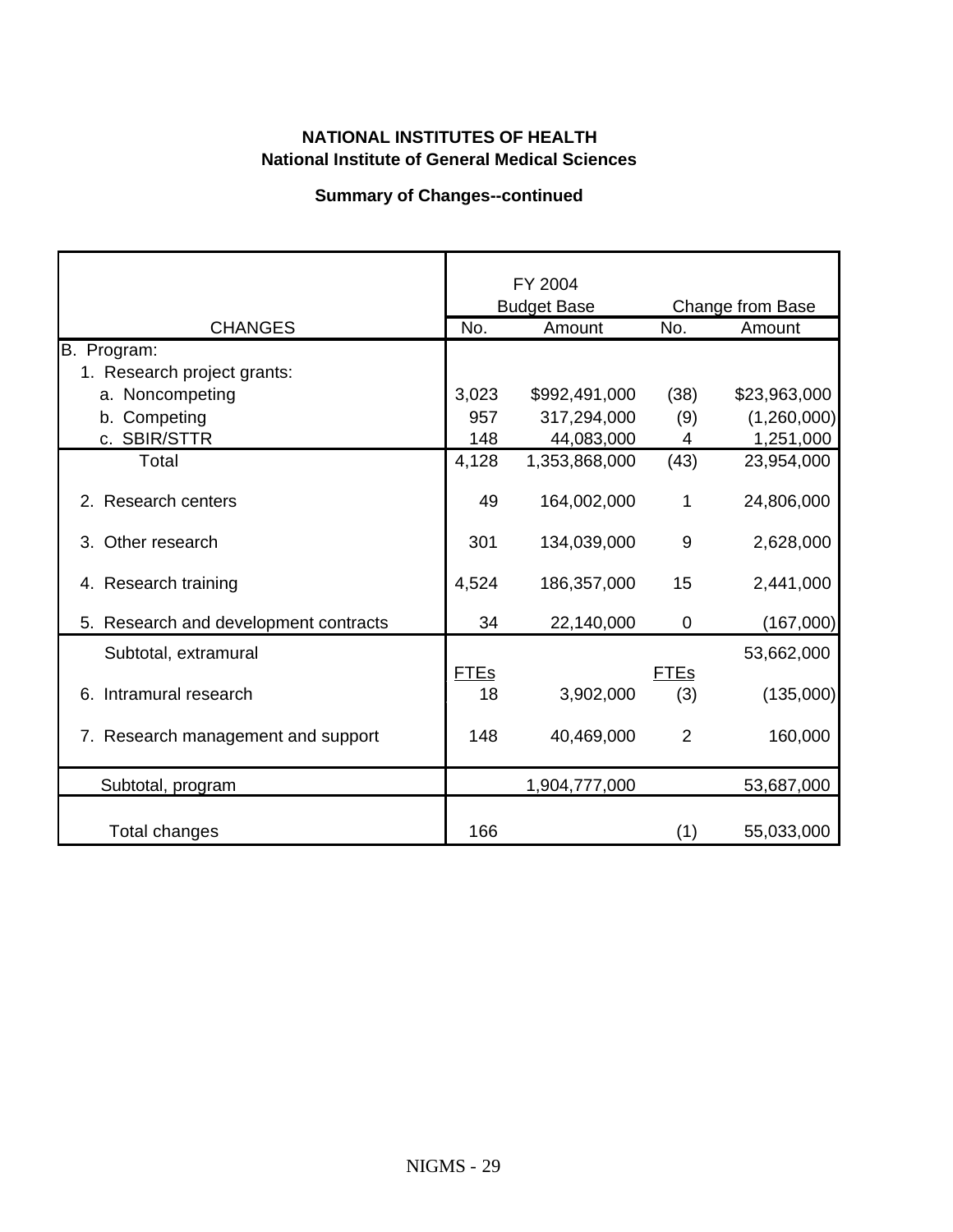#### **Summary of Changes--continued**

|                                       |             | FY 2004            |                |                  |
|---------------------------------------|-------------|--------------------|----------------|------------------|
|                                       |             | <b>Budget Base</b> |                | Change from Base |
| <b>CHANGES</b>                        | No.         | Amount             | No.            | Amount           |
| B. Program:                           |             |                    |                |                  |
| 1. Research project grants:           |             |                    |                |                  |
| a. Noncompeting                       | 3,023       | \$992,491,000      | (38)           | \$23,963,000     |
| b. Competing                          | 957         | 317,294,000        | (9)            | (1,260,000)      |
| c. SBIR/STTR                          | 148         | 44,083,000         | 4              | 1,251,000        |
| Total                                 | 4,128       | 1,353,868,000      | (43)           | 23,954,000       |
| 2. Research centers                   | 49          | 164,002,000        | 1              | 24,806,000       |
| Other research<br>3.                  | 301         | 134,039,000        | 9              | 2,628,000        |
| 4. Research training                  | 4,524       | 186,357,000        | 15             | 2,441,000        |
| 5. Research and development contracts | 34          | 22,140,000         | $\mathbf 0$    | (167,000)        |
| Subtotal, extramural                  |             |                    |                | 53,662,000       |
|                                       | <b>FTEs</b> |                    | <b>FTEs</b>    |                  |
| 6. Intramural research                | 18          | 3,902,000          | (3)            | (135,000)        |
| 7. Research management and support    | 148         | 40,469,000         | $\overline{2}$ | 160,000          |
| Subtotal, program                     |             | 1,904,777,000      |                | 53,687,000       |
| Total changes                         | 166         |                    | (1)            | 55,033,000       |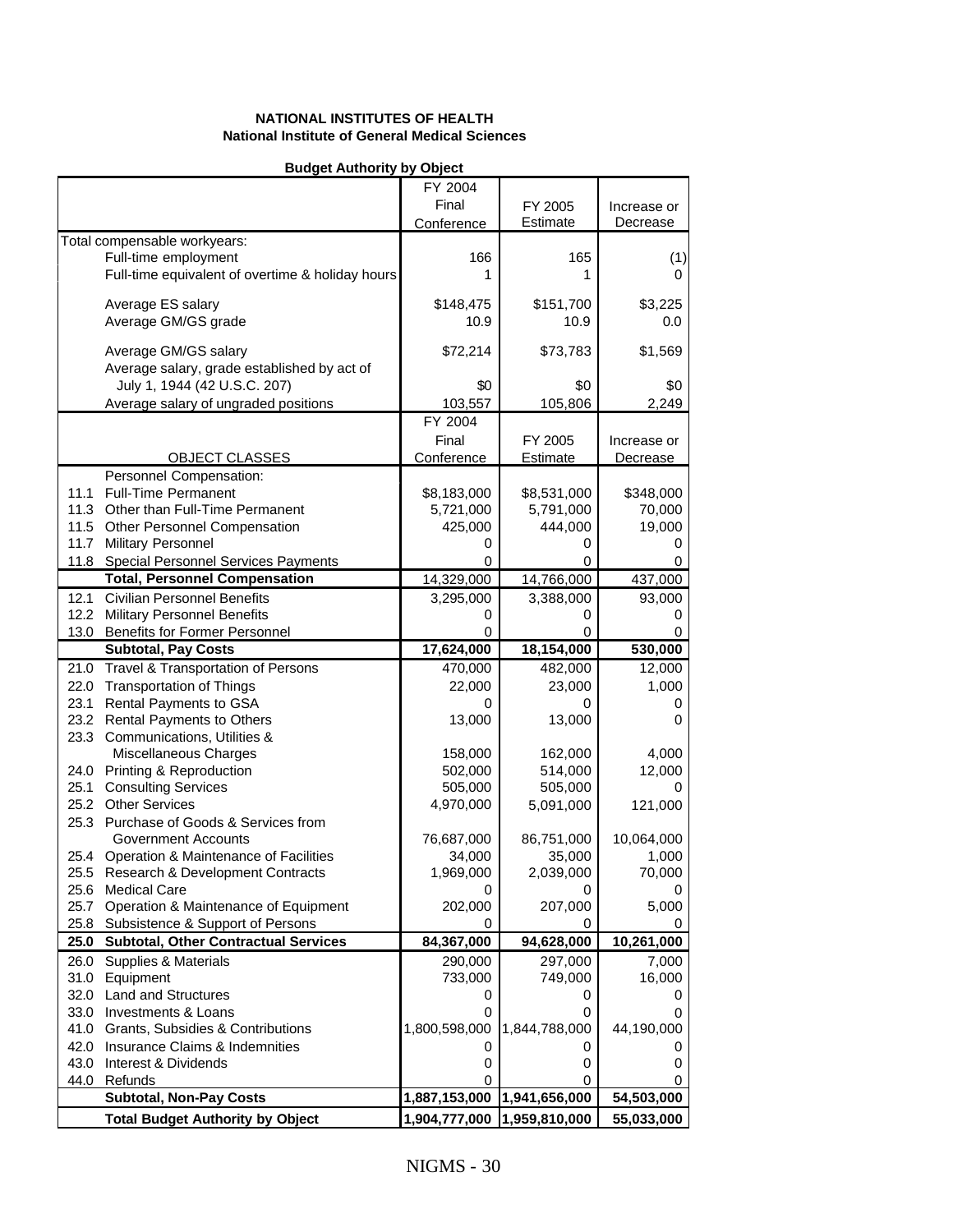#### **Budget Authority by Object**

|                                                             | FY 2004         |                             |              |
|-------------------------------------------------------------|-----------------|-----------------------------|--------------|
|                                                             | Final           | FY 2005                     | Increase or  |
|                                                             | Conference      | Estimate                    | Decrease     |
| Total compensable workyears:                                |                 |                             |              |
| Full-time employment                                        | 166             | 165                         | (1)          |
| Full-time equivalent of overtime & holiday hours            | 1               | 1                           | 0            |
|                                                             |                 |                             |              |
| Average ES salary                                           | \$148,475       | \$151,700                   | \$3,225      |
| Average GM/GS grade                                         | 10.9            | 10.9                        | 0.0          |
|                                                             |                 |                             |              |
| Average GM/GS salary                                        | \$72,214        | \$73,783                    | \$1,569      |
| Average salary, grade established by act of                 |                 |                             |              |
| July 1, 1944 (42 U.S.C. 207)                                | \$0             | \$0                         | \$0          |
| Average salary of ungraded positions                        | 103,557         | 105,806                     | 2,249        |
|                                                             | FY 2004         |                             |              |
|                                                             | Final           | FY 2005                     | Increase or  |
| <b>OBJECT CLASSES</b>                                       | Conference      | Estimate                    | Decrease     |
| Personnel Compensation:                                     |                 |                             |              |
| 11.1<br><b>Full-Time Permanent</b>                          | \$8,183,000     | \$8,531,000                 | \$348,000    |
| 11.3 Other than Full-Time Permanent                         | 5,721,000       | 5,791,000                   | 70,000       |
| 11.5 Other Personnel Compensation                           | 425,000         | 444,000                     | 19,000       |
| Military Personnel<br>11.7                                  | 0               | O                           |              |
| 11.8 Special Personnel Services Payments                    | 0               | 0                           | 0            |
| <b>Total, Personnel Compensation</b>                        | 14,329,000      | 14,766,000                  | 437,000      |
| <b>Civilian Personnel Benefits</b><br>12.1                  | 3,295,000       | 3,388,000                   | 93,000       |
| 12.2<br><b>Military Personnel Benefits</b>                  | 0               | 0                           | O            |
| 13.0<br><b>Benefits for Former Personnel</b>                | 0               | 0                           |              |
| Subtotal, Pay Costs                                         | 17,624,000      | 18,154,000                  | 530,000      |
| 21.0<br>Travel & Transportation of Persons                  |                 | 482,000                     | 12,000       |
| 22.0                                                        | 470,000         |                             | 1,000        |
| <b>Transportation of Things</b><br>23.1                     | 22,000          | 23,000                      |              |
| Rental Payments to GSA<br>Rental Payments to Others<br>23.2 | 0<br>13,000     | O<br>13,000                 | 0<br>0       |
| 23.3 Communications, Utilities &                            |                 |                             |              |
| Miscellaneous Charges                                       | 158,000         | 162,000                     | 4,000        |
| Printing & Reproduction<br>24.0                             | 502,000         | 514,000                     | 12,000       |
| <b>Consulting Services</b><br>25.1                          | 505,000         | 505,000                     | $\mathbf{0}$ |
| 25.2<br><b>Other Services</b>                               | 4,970,000       | 5,091,000                   | 121,000      |
| 25.3 Purchase of Goods & Services from                      |                 |                             |              |
| Government Accounts                                         | 76,687,000      | 86,751,000                  | 10,064,000   |
| 25.4 Operation & Maintenance of Facilities                  | 34,000          | 35,000                      | 1,000        |
| 25.5 Research & Development Contracts                       | 1,969,000       | 2,039,000                   | 70,000       |
| 25.6 Medical Care                                           | 0               | 0                           |              |
| 25.7<br>Operation & Maintenance of Equipment                | 202,000         | 207,000                     | 5,000        |
| 25.8 Subsistence & Support of Persons                       |                 | 0                           |              |
| <b>Subtotal, Other Contractual Services</b><br>25.0         | 0<br>84,367,000 | 94,628,000                  | 10,261,000   |
|                                                             |                 |                             |              |
| <b>Supplies &amp; Materials</b><br>26.0                     | 290,000         | 297,000                     | 7,000        |
| 31.0<br>Equipment                                           | 733,000         | 749,000                     | 16,000       |
| 32.0 Land and Structures                                    | 0               | 0                           |              |
| 33.0 Investments & Loans                                    |                 | O                           |              |
| 41.0 Grants, Subsidies & Contributions                      | 1,800,598,000   | 1,844,788,000               | 44,190,000   |
| 42.0 Insurance Claims & Indemnities                         | O               | O                           |              |
| 43.0 Interest & Dividends                                   | 0               | 0                           |              |
| 44.0 Refunds                                                |                 |                             |              |
| <b>Subtotal, Non-Pay Costs</b>                              |                 | 1,887,153,000 1,941,656,000 | 54,503,000   |
| <b>Total Budget Authority by Object</b>                     |                 | 1,904,777,000 1,959,810,000 | 55,033,000   |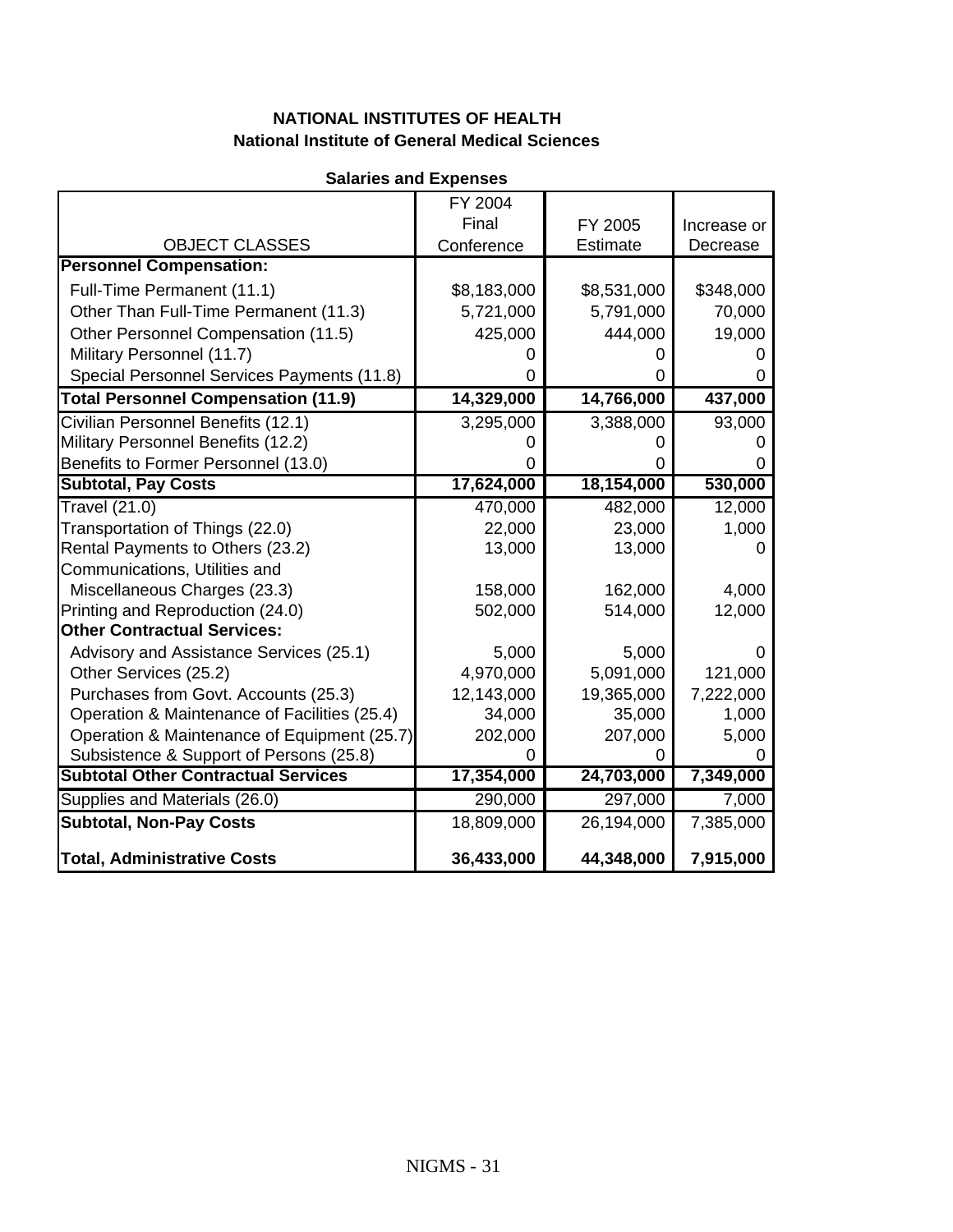| <b>Salaries and Expenses</b>                 |             |             |             |  |  |  |  |
|----------------------------------------------|-------------|-------------|-------------|--|--|--|--|
|                                              | FY 2004     |             |             |  |  |  |  |
|                                              | Final       | FY 2005     | Increase or |  |  |  |  |
| <b>OBJECT CLASSES</b>                        | Conference  | Estimate    | Decrease    |  |  |  |  |
| <b>Personnel Compensation:</b>               |             |             |             |  |  |  |  |
| Full-Time Permanent (11.1)                   | \$8,183,000 | \$8,531,000 | \$348,000   |  |  |  |  |
| Other Than Full-Time Permanent (11.3)        | 5,721,000   | 5,791,000   | 70,000      |  |  |  |  |
| Other Personnel Compensation (11.5)          | 425,000     | 444,000     | 19,000      |  |  |  |  |
| Military Personnel (11.7)                    |             |             |             |  |  |  |  |
| Special Personnel Services Payments (11.8)   | ი           |             | 0           |  |  |  |  |
| <b>Total Personnel Compensation (11.9)</b>   | 14,329,000  | 14,766,000  | 437,000     |  |  |  |  |
| Civilian Personnel Benefits (12.1)           | 3,295,000   | 3,388,000   | 93,000      |  |  |  |  |
| Military Personnel Benefits (12.2)           | O           |             |             |  |  |  |  |
| Benefits to Former Personnel (13.0)          | O           | $\Omega$    | 0           |  |  |  |  |
| <b>Subtotal, Pay Costs</b>                   | 17,624,000  | 18,154,000  | 530,000     |  |  |  |  |
| <b>Travel (21.0)</b>                         | 470,000     | 482,000     | 12,000      |  |  |  |  |
| Transportation of Things (22.0)              | 22,000      | 23,000      | 1,000       |  |  |  |  |
| Rental Payments to Others (23.2)             | 13,000      | 13,000      | 0           |  |  |  |  |
| Communications, Utilities and                |             |             |             |  |  |  |  |
| Miscellaneous Charges (23.3)                 | 158,000     | 162,000     | 4,000       |  |  |  |  |
| Printing and Reproduction (24.0)             | 502,000     | 514,000     | 12,000      |  |  |  |  |
| <b>Other Contractual Services:</b>           |             |             |             |  |  |  |  |
| Advisory and Assistance Services (25.1)      | 5,000       | 5,000       | 0           |  |  |  |  |
| Other Services (25.2)                        | 4,970,000   | 5,091,000   | 121,000     |  |  |  |  |
| Purchases from Govt. Accounts (25.3)         | 12,143,000  | 19,365,000  | 7,222,000   |  |  |  |  |
| Operation & Maintenance of Facilities (25.4) | 34,000      | 35,000      | 1,000       |  |  |  |  |
| Operation & Maintenance of Equipment (25.7)  | 202,000     | 207,000     | 5,000       |  |  |  |  |
| Subsistence & Support of Persons (25.8)      | 0           | 0           | O)          |  |  |  |  |
| <b>Subtotal Other Contractual Services</b>   | 17,354,000  | 24,703,000  | 7,349,000   |  |  |  |  |
| Supplies and Materials (26.0)                | 290,000     | 297,000     | 7,000       |  |  |  |  |
| <b>Subtotal, Non-Pay Costs</b>               | 18,809,000  | 26,194,000  | 7,385,000   |  |  |  |  |
| <b>Total, Administrative Costs</b>           | 36,433,000  | 44,348,000  | 7,915,000   |  |  |  |  |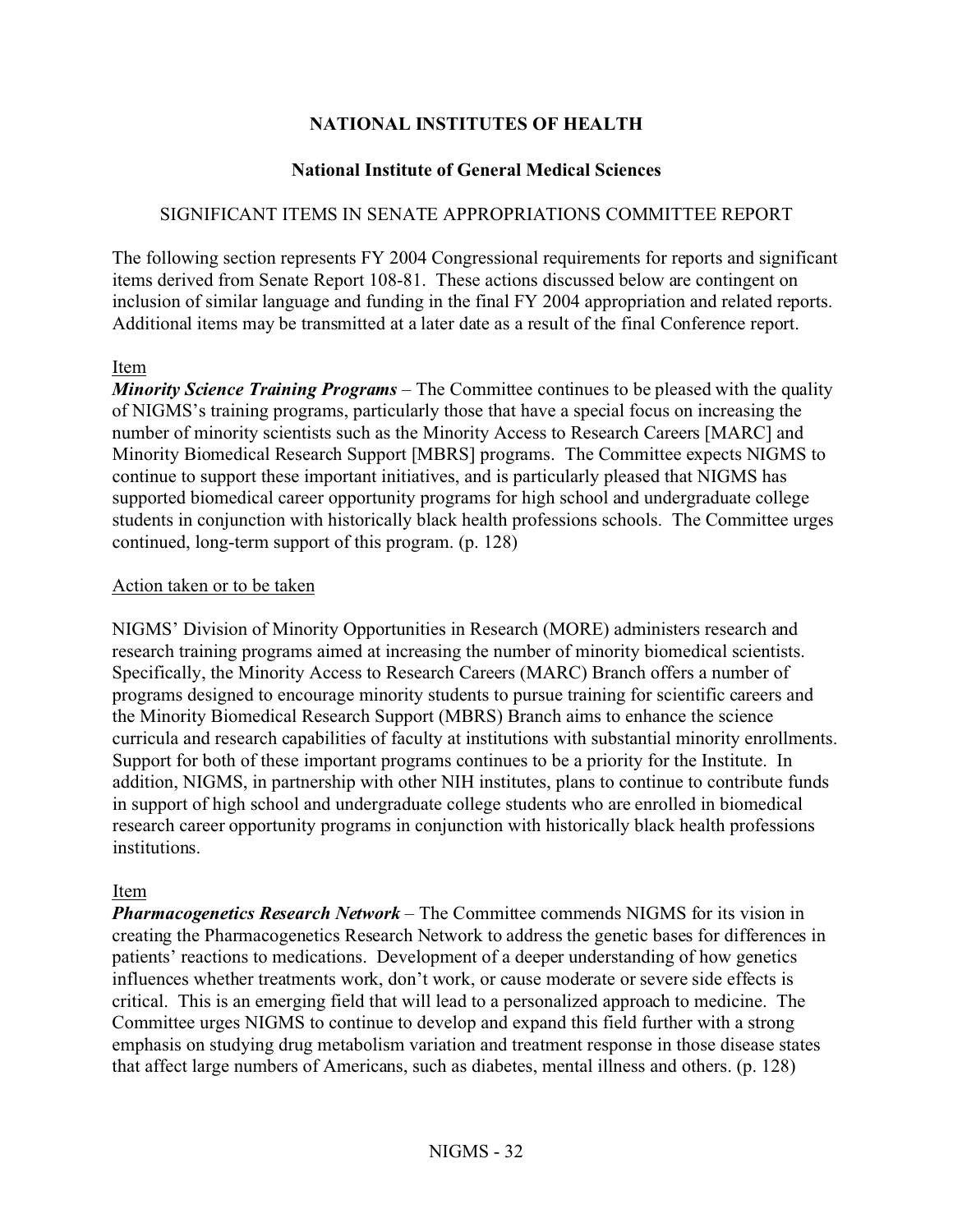# **NATIONAL INSTITUTES OF HEALTH**

#### **National Institute of General Medical Sciences**

#### SIGNIFICANT ITEMS IN SENATE APPROPRIATIONS COMMITTEE REPORT

The following section represents FY 2004 Congressional requirements for reports and significant items derived from Senate Report 108-81. These actions discussed below are contingent on inclusion of similar language and funding in the final FY 2004 appropriation and related reports. Additional items may be transmitted at a later date as a result of the final Conference report.

#### Item

*Minority Science Training Programs* – The Committee continues to be pleased with the quality of NIGMS's training programs, particularly those that have a special focus on increasing the number of minority scientists such as the Minority Access to Research Careers [MARC] and Minority Biomedical Research Support [MBRS] programs. The Committee expects NIGMS to continue to support these important initiatives, and is particularly pleased that NIGMS has supported biomedical career opportunity programs for high school and undergraduate college students in conjunction with historically black health professions schools. The Committee urges continued, long-term support of this program. (p. 128)

#### Action taken or to be taken

NIGMS' Division of Minority Opportunities in Research (MORE) administers research and research training programs aimed at increasing the number of minority biomedical scientists. Specifically, the Minority Access to Research Careers (MARC) Branch offers a number of programs designed to encourage minority students to pursue training for scientific careers and the Minority Biomedical Research Support (MBRS) Branch aims to enhance the science curricula and research capabilities of faculty at institutions with substantial minority enrollments. Support for both of these important programs continues to be a priority for the Institute. In addition, NIGMS, in partnership with other NIH institutes, plans to continue to contribute funds in support of high school and undergraduate college students who are enrolled in biomedical research career opportunity programs in conjunction with historically black health professions institutions.

#### Item

*Pharmacogenetics Research Network* – The Committee commends NIGMS for its vision in creating the Pharmacogenetics Research Network to address the genetic bases for differences in patients' reactions to medications. Development of a deeper understanding of how genetics influences whether treatments work, don't work, or cause moderate or severe side effects is critical. This is an emerging field that will lead to a personalized approach to medicine. The Committee urges NIGMS to continue to develop and expand this field further with a strong emphasis on studying drug metabolism variation and treatment response in those disease states that affect large numbers of Americans, such as diabetes, mental illness and others. (p. 128)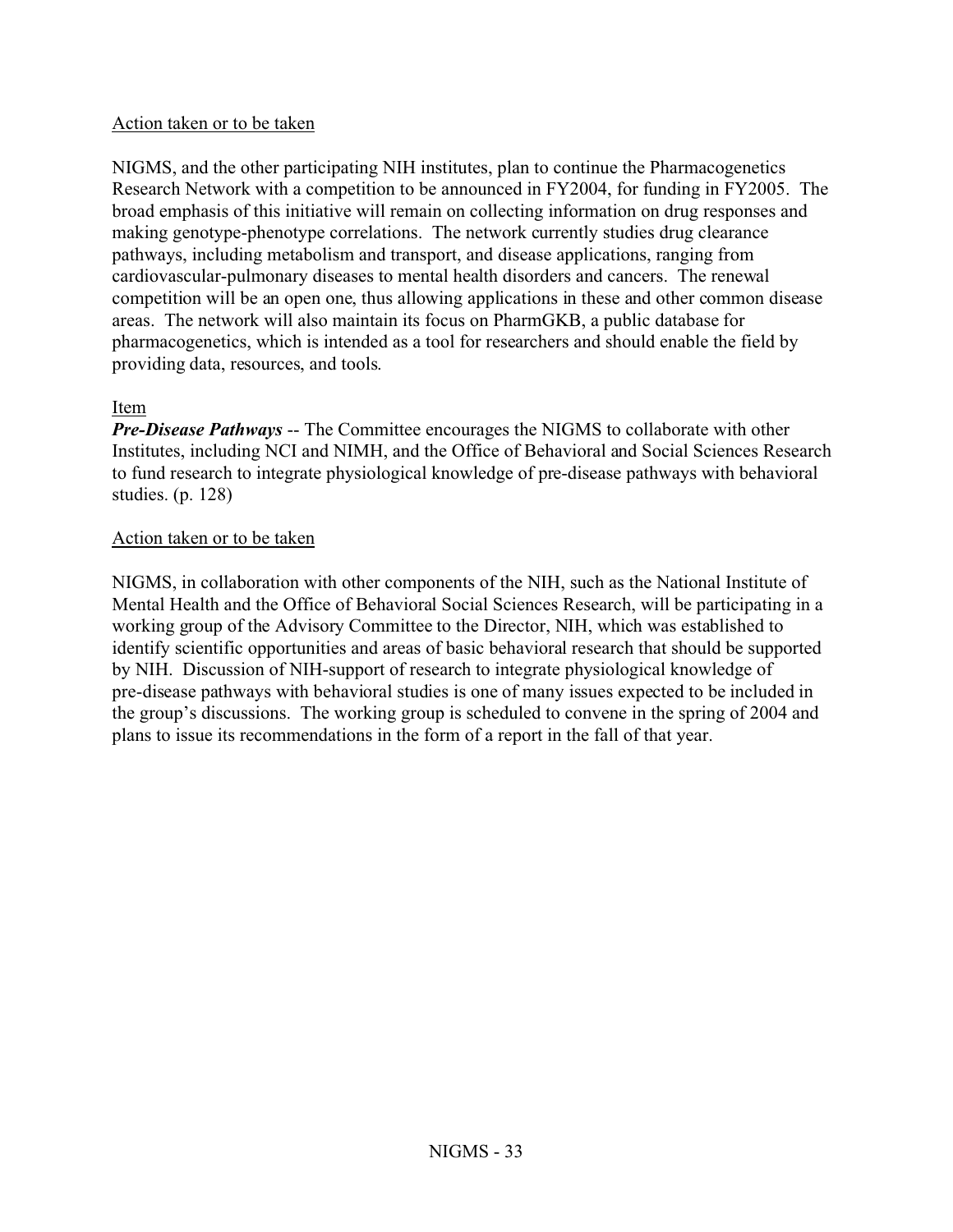#### Action taken or to be taken

NIGMS, and the other participating NIH institutes, plan to continue the Pharmacogenetics Research Network with a competition to be announced in FY2004, for funding in FY2005. The broad emphasis of this initiative will remain on collecting information on drug responses and making genotype-phenotype correlations. The network currently studies drug clearance pathways, including metabolism and transport, and disease applications, ranging from cardiovascular-pulmonary diseases to mental health disorders and cancers. The renewal competition will be an open one, thus allowing applications in these and other common disease areas. The network will also maintain its focus on PharmGKB, a public database for pharmacogenetics, which is intended as a tool for researchers and should enable the field by providing data, resources, and tools.

#### Item

*Pre-Disease Pathways* -- The Committee encourages the NIGMS to collaborate with other Institutes, including NCI and NIMH, and the Office of Behavioral and Social Sciences Research to fund research to integrate physiological knowledge of pre-disease pathways with behavioral studies. (p. 128)

#### Action taken or to be taken

NIGMS, in collaboration with other components of the NIH, such as the National Institute of Mental Health and the Office of Behavioral Social Sciences Research, will be participating in a working group of the Advisory Committee to the Director, NIH, which was established to identify scientific opportunities and areas of basic behavioral research that should be supported by NIH. Discussion of NIH-support of research to integrate physiological knowledge of pre-disease pathways with behavioral studies is one of many issues expected to be included in the group's discussions. The working group is scheduled to convene in the spring of 2004 and plans to issue its recommendations in the form of a report in the fall of that year.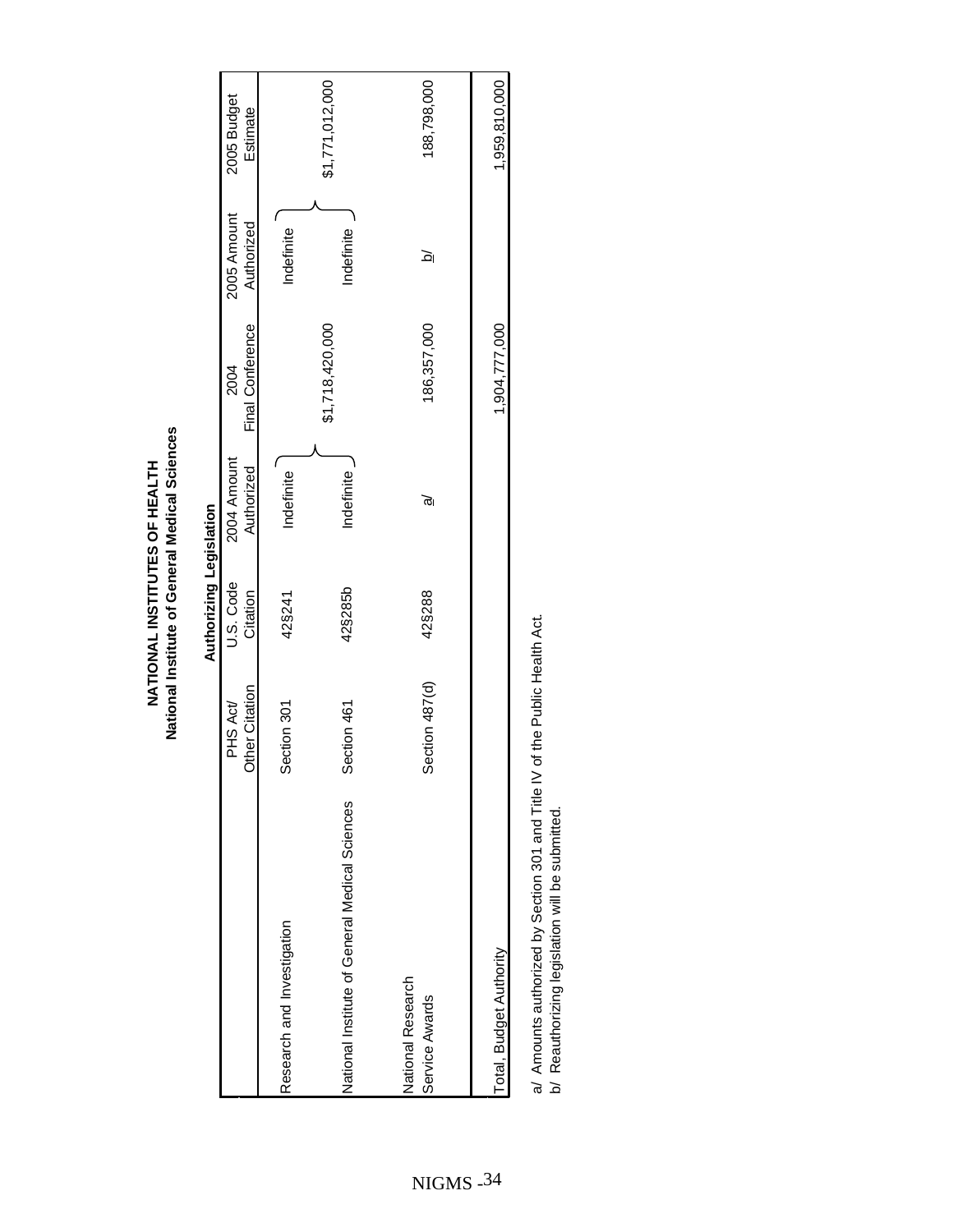|                                                                                  |                            | Authorizing Legislation |                           |                          |                           |                         |
|----------------------------------------------------------------------------------|----------------------------|-------------------------|---------------------------|--------------------------|---------------------------|-------------------------|
|                                                                                  | Other Citation<br>PHS Act/ | U.S. Code<br>Citation   | 2004 Amount<br>Authorized | Final Conference<br>2004 | 2005 Amount<br>Authorized | 2005 Budget<br>Estimate |
| Research and Investigation                                                       | Section 301                | 42§241                  | Indefinite                |                          | Indefinite                |                         |
| National Institute of General Medical Sciences                                   | Section 461                | 42§285b                 | Indefinite                | \$1,718,420,000          | Indefinite                | \$1,771,012,000         |
| National Research<br>Service Awards                                              | Section 487(d)             | 42§288                  | ত্ত                       | 186,357,000              | <u>হ</u>                  | 188,798,000             |
| Total, Budget Authority                                                          |                            |                         |                           | 1,904,777,000            |                           | 1,959,810,000           |
| the discription of the Milking of the Milking with heritoritic discription of le |                            |                         |                           |                          |                           |                         |

a/ Amounts authorized by Section 301 and Title IV of the Public Health Act.<br>b/ Reauthorizing legislation will be submitted. a/ Amounts authorized by Section 301 and Title IV of the Public Health Act.

b/ Reauthorizing legislation will be submitted.

# National Institute of General Medical Sciences **National Institute of General Medical Sciences** NATIONAL INSTITUTES OF HEALTH **NATIONAL INSTITUTES OF HEALTH**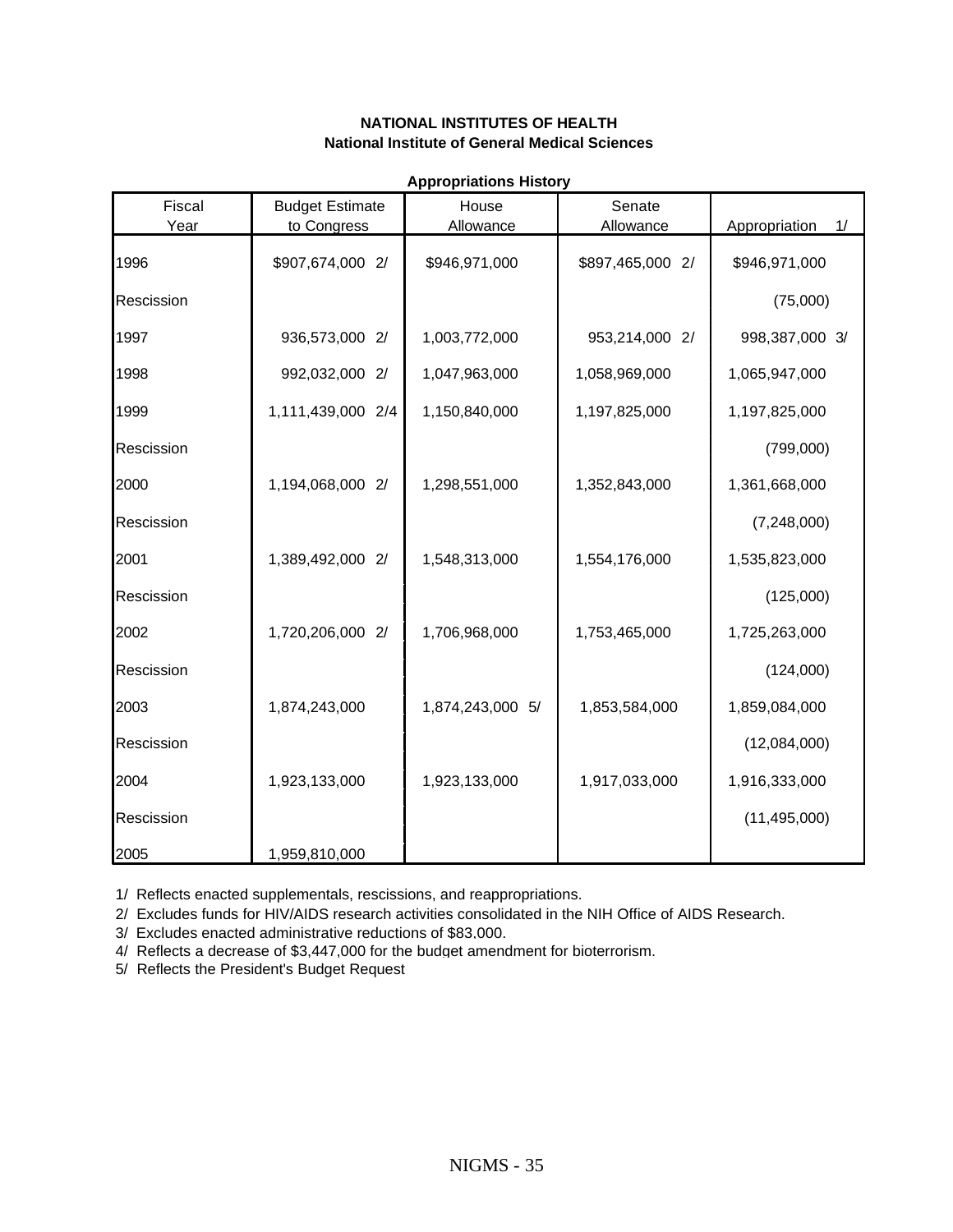| Fiscal     | <b>Budget Estimate</b> | Appropriations matory<br>House | Senate           |                     |
|------------|------------------------|--------------------------------|------------------|---------------------|
| Year       | to Congress            | Allowance                      | Allowance        | Appropriation<br>1/ |
| 1996       | \$907,674,000 2/       | \$946,971,000                  | \$897,465,000 2/ | \$946,971,000       |
| Rescission |                        |                                |                  | (75,000)            |
| 1997       | 936,573,000 2/         | 1,003,772,000                  | 953,214,000 2/   | 998,387,000 3/      |
| 1998       | 992,032,000 2/         | 1,047,963,000                  | 1,058,969,000    | 1,065,947,000       |
| 1999       | 1,111,439,000 2/4      | 1,150,840,000                  | 1,197,825,000    | 1,197,825,000       |
| Rescission |                        |                                |                  | (799,000)           |
| 2000       | 1,194,068,000 2/       | 1,298,551,000                  | 1,352,843,000    | 1,361,668,000       |
| Rescission |                        |                                |                  | (7,248,000)         |
| 2001       | 1,389,492,000 2/       | 1,548,313,000                  | 1,554,176,000    | 1,535,823,000       |
| Rescission |                        |                                |                  | (125,000)           |
| 2002       | 1,720,206,000 2/       | 1,706,968,000                  | 1,753,465,000    | 1,725,263,000       |
| Rescission |                        |                                |                  | (124,000)           |
| 2003       | 1,874,243,000          | 1,874,243,000 5/               | 1,853,584,000    | 1,859,084,000       |
| Rescission |                        |                                |                  | (12,084,000)        |
| 2004       | 1,923,133,000          | 1,923,133,000                  | 1,917,033,000    | 1,916,333,000       |
| Rescission |                        |                                |                  | (11, 495, 000)      |
| 2005       | 1,959,810,000          |                                |                  |                     |

**Appropriations History**

1/ Reflects enacted supplementals, rescissions, and reappropriations.

2/ Excludes funds for HIV/AIDS research activities consolidated in the NIH Office of AIDS Research.

3/ Excludes enacted administrative reductions of \$83,000.

4/ Reflects a decrease of \$3,447,000 for the budget amendment for bioterrorism.

5/ Reflects the President's Budget Request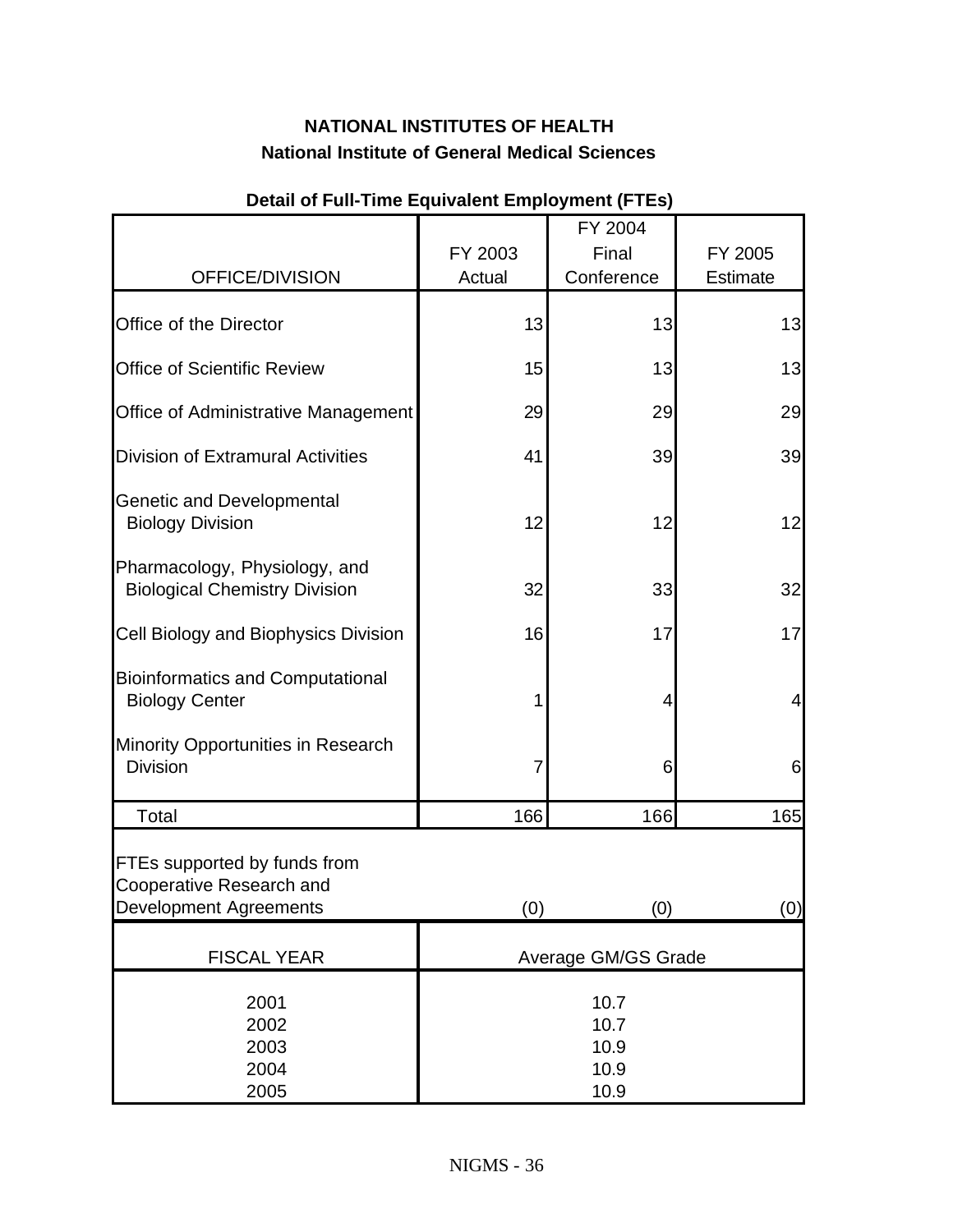|                                                                                           |                     | FY 2004                              |                |
|-------------------------------------------------------------------------------------------|---------------------|--------------------------------------|----------------|
|                                                                                           | FY 2003             | Final                                | FY 2005        |
| OFFICE/DIVISION                                                                           | Actual              | Conference                           | Estimate       |
| Office of the Director                                                                    | 13                  | 13                                   | 13             |
| <b>Office of Scientific Review</b>                                                        | 15                  | 13                                   | 13             |
| Office of Administrative Management                                                       | 29                  | 29                                   | 29             |
| <b>Division of Extramural Activities</b>                                                  | 41                  | 39                                   | 39             |
| <b>Genetic and Developmental</b><br><b>Biology Division</b>                               | 12                  | 12                                   | 12             |
| Pharmacology, Physiology, and<br><b>Biological Chemistry Division</b>                     | 32                  | 33                                   | 32             |
| Cell Biology and Biophysics Division                                                      | 16                  | 17                                   | 17             |
| <b>Bioinformatics and Computational</b><br><b>Biology Center</b>                          | 1                   | 4                                    | $\overline{4}$ |
| Minority Opportunities in Research<br><b>Division</b>                                     | 7                   | 6                                    | 6              |
| Total                                                                                     | 166                 | 166                                  | 165            |
| FTEs supported by funds from<br>Cooperative Research and<br><b>Development Agreements</b> | (0)                 | (0)                                  | (0)            |
| <b>FISCAL YEAR</b>                                                                        | Average GM/GS Grade |                                      |                |
| 2001<br>2002<br>2003<br>2004<br>2005                                                      |                     | 10.7<br>10.7<br>10.9<br>10.9<br>10.9 |                |

#### **Detail of Full-Time Equivalent Employment (FTEs)**